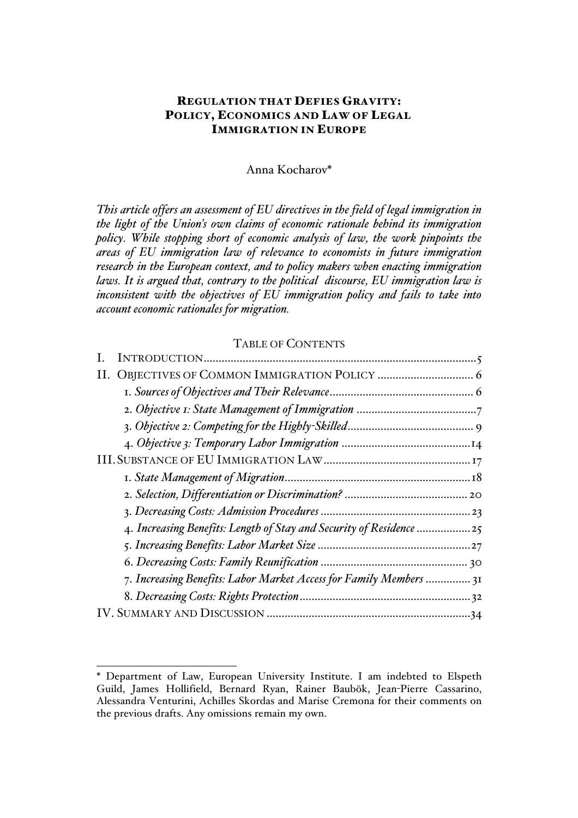# REGULATION THAT DEFIES GRAVITY: POLICY, ECONOMICS AND LAW OF LEGAL IMMIGRATION IN EUROPE

## Anna Kocharov\*

*This article offers an assessment of EU directives in the field of legal immigration in the light of the Union's own claims of economic rationale behind its immigration policy. While stopping short of economic analysis of law, the work pinpoints the areas of EU immigration law of relevance to economists in future immigration research in the European context, and to policy makers when enacting immigration laws. It is argued that, contrary to the political discourse, EU immigration law is inconsistent with the objectives of EU immigration policy and fails to take into account economic rationales for migration.*

#### TABLE OF CONTENTS

|  | 4. Increasing Benefits: Length of Stay and Security of Residence  25 |  |
|--|----------------------------------------------------------------------|--|
|  |                                                                      |  |
|  |                                                                      |  |
|  | 7. Increasing Benefits: Labor Market Access for Family Members  31   |  |
|  |                                                                      |  |
|  |                                                                      |  |

 <sup>\*</sup> Department of Law, European University Institute. I am indebted to Elspeth Guild, James Hollifield, Bernard Ryan, Rainer Baubök, Jean-Pierre Cassarino, Alessandra Venturini, Achilles Skordas and Marise Cremona for their comments on the previous drafts. Any omissions remain my own.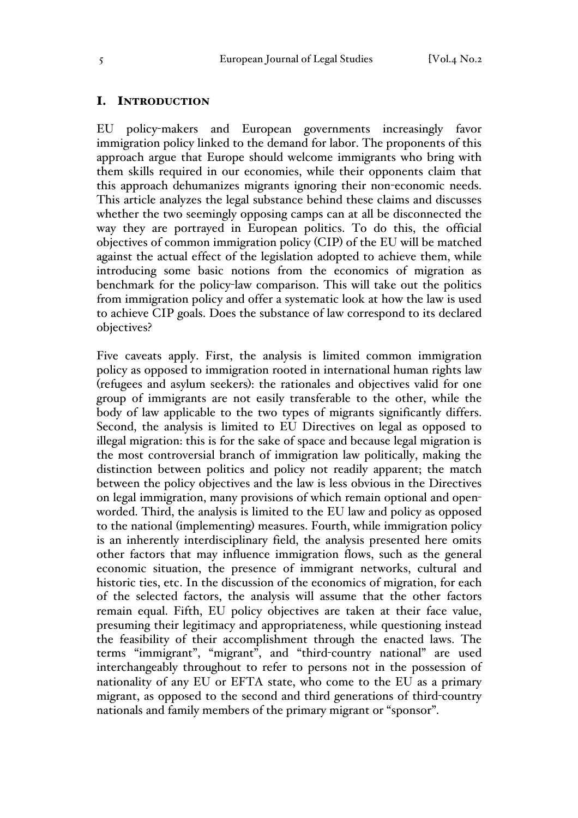### I. INTRODUCTION

EU policy-makers and European governments increasingly favor immigration policy linked to the demand for labor. The proponents of this approach argue that Europe should welcome immigrants who bring with them skills required in our economies, while their opponents claim that this approach dehumanizes migrants ignoring their non-economic needs. This article analyzes the legal substance behind these claims and discusses whether the two seemingly opposing camps can at all be disconnected the way they are portrayed in European politics. To do this, the official objectives of common immigration policy (CIP) of the EU will be matched against the actual effect of the legislation adopted to achieve them, while introducing some basic notions from the economics of migration as benchmark for the policy-law comparison. This will take out the politics from immigration policy and offer a systematic look at how the law is used to achieve CIP goals. Does the substance of law correspond to its declared objectives?

Five caveats apply. First, the analysis is limited common immigration policy as opposed to immigration rooted in international human rights law (refugees and asylum seekers): the rationales and objectives valid for one group of immigrants are not easily transferable to the other, while the body of law applicable to the two types of migrants significantly differs. Second, the analysis is limited to EU Directives on legal as opposed to illegal migration: this is for the sake of space and because legal migration is the most controversial branch of immigration law politically, making the distinction between politics and policy not readily apparent; the match between the policy objectives and the law is less obvious in the Directives on legal immigration, many provisions of which remain optional and openworded. Third, the analysis is limited to the EU law and policy as opposed to the national (implementing) measures. Fourth, while immigration policy is an inherently interdisciplinary field, the analysis presented here omits other factors that may influence immigration flows, such as the general economic situation, the presence of immigrant networks, cultural and historic ties, etc. In the discussion of the economics of migration, for each of the selected factors, the analysis will assume that the other factors remain equal. Fifth, EU policy objectives are taken at their face value, presuming their legitimacy and appropriateness, while questioning instead the feasibility of their accomplishment through the enacted laws. The terms "immigrant", "migrant", and "third-country national" are used interchangeably throughout to refer to persons not in the possession of nationality of any EU or EFTA state, who come to the EU as a primary migrant, as opposed to the second and third generations of third-country nationals and family members of the primary migrant or "sponsor".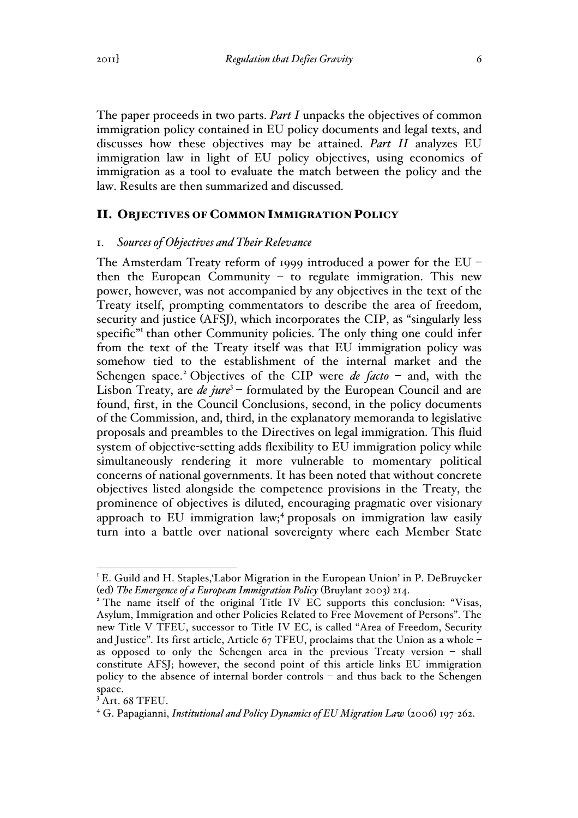The paper proceeds in two parts. *Part I* unpacks the objectives of common immigration policy contained in EU policy documents and legal texts, and discusses how these objectives may be attained. *Part II* analyzes EU immigration law in light of EU policy objectives, using economics of immigration as a tool to evaluate the match between the policy and the law. Results are then summarized and discussed.

# II. OBJECTIVES OF COMMON IMMIGRATION POLICY

## 1. *Sources of Objectives and Their Relevance*

The Amsterdam Treaty reform of 1999 introduced a power for the EU – then the European Community  $-$  to regulate immigration. This new power, however, was not accompanied by any objectives in the text of the Treaty itself, prompting commentators to describe the area of freedom, security and justice (AFSJ), which incorporates the CIP, as "singularly less specific" than other Community policies. The only thing one could infer from the text of the Treaty itself was that EU immigration policy was somehow tied to the establishment of the internal market and the Schengen space.<sup>2</sup> Objectives of the CIP were *de facto* – and, with the Lisbon Treaty, are *de jure*<sup>3</sup> – formulated by the European Council and are found, first, in the Council Conclusions, second, in the policy documents of the Commission, and, third, in the explanatory memoranda to legislative proposals and preambles to the Directives on legal immigration. This fluid system of objective-setting adds flexibility to EU immigration policy while simultaneously rendering it more vulnerable to momentary political concerns of national governments. It has been noted that without concrete objectives listed alongside the competence provisions in the Treaty, the prominence of objectives is diluted, encouraging pragmatic over visionary approach to EU immigration law;<sup>4</sup> proposals on immigration law easily turn into a battle over national sovereignty where each Member State

<sup>&</sup>lt;sup>1</sup> E. Guild and H. Staples, Labor Migration in the European Union' in P. DeBruycker

<sup>(</sup>ed) *The Emergence of a European Immigration Policy* (Bruylant 2003) 214.<br><sup>2</sup> The name itself of the original Title IV EC supports this conclusion: "Visas, Asylum, Immigration and other Policies Related to Free Movement of Persons". The new Title V TFEU, successor to Title IV EC, is called "Area of Freedom, Security and Justice". Its first article, Article 67 TFEU, proclaims that the Union as a whole  $$ as opposed to only the Schengen area in the previous Treaty version – shall constitute AFSJ; however, the second point of this article links EU immigration policy to the absence of internal border controls – and thus back to the Schengen space.

 $3$  Art. 68 TFEU.

<sup>4</sup> G. Papagianni, *Institutional and Policy Dynamics of EU Migration Law* (2006) 197-262.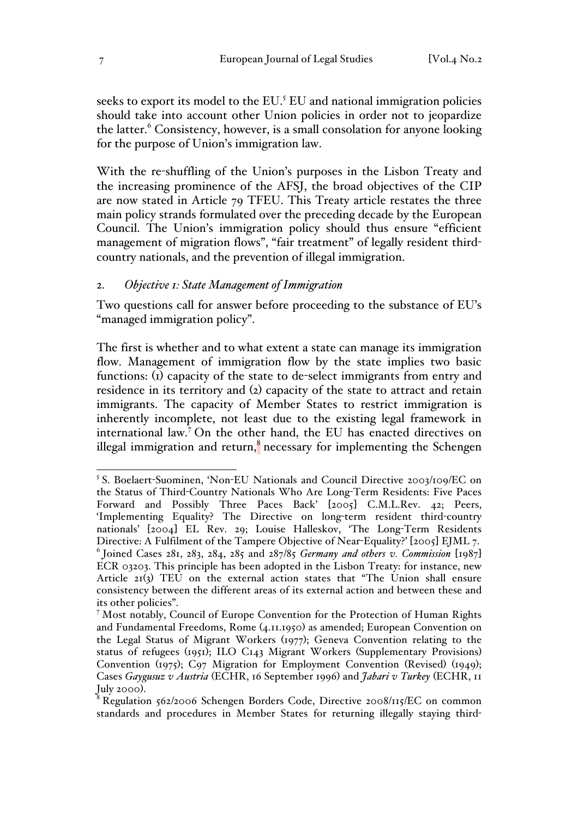seeks to export its model to the EU.<sup>5</sup> EU and national immigration policies should take into account other Union policies in order not to jeopardize the latter. $6$  Consistency, however, is a small consolation for anyone looking for the purpose of Union's immigration law.

With the re-shuffling of the Union's purposes in the Lisbon Treaty and the increasing prominence of the AFSJ, the broad objectives of the CIP are now stated in Article 79 TFEU. This Treaty article restates the three main policy strands formulated over the preceding decade by the European Council. The Union's immigration policy should thus ensure "efficient management of migration flows", "fair treatment" of legally resident thirdcountry nationals, and the prevention of illegal immigration.

## 2. *Objective 1: State Management of Immigration*

Two questions call for answer before proceeding to the substance of EU's "managed immigration policy".

The first is whether and to what extent a state can manage its immigration flow. Management of immigration flow by the state implies two basic functions: (1) capacity of the state to de-select immigrants from entry and residence in its territory and (2) capacity of the state to attract and retain immigrants. The capacity of Member States to restrict immigration is inherently incomplete, not least due to the existing legal framework in international law.<sup>7</sup> On the other hand, the EU has enacted directives on illegal immigration and return, $\frac{8}{3}$  necessary for implementing the Schengen

 <sup>5</sup> S. Boelaert-Suominen, 'Non-EU Nationals and Council Directive 2003/109/EC on the Status of Third-Country Nationals Who Are Long-Term Residents: Five Paces Forward and Possibly Three Paces Back' [2005] C.M.L.Rev. 42; Peers, 'Implementing Equality? The Directive on long-term resident third-country nationals' [2004] EL Rev. 29; Louise Halleskov, 'The Long-Term Residents Directive: A Fulfilment of the Tampere Objective of Near-Equality?' [2005] EJML 7. <sup>6</sup> Joined Cases 281, 283, 284, 285 and 287/85 *Germany and others v. Commission* [1987] ECR 03203. This principle has been adopted in the Lisbon Treaty: for instance, new Article 21(3) TEU on the external action states that "The Union shall ensure consistency between the different areas of its external action and between these and its other policies".

<sup>7</sup> Most notably, Council of Europe Convention for the Protection of Human Rights and Fundamental Freedoms, Rome (4.11.1950) as amended; European Convention on the Legal Status of Migrant Workers (1977); Geneva Convention relating to the status of refugees (1951); ILO C143 Migrant Workers (Supplementary Provisions) Convention (1975); C97 Migration for Employment Convention (Revised) (1949); Cases *Gaygusuz v Austria* (ECHR, 16 September 1996) and *Jabari v Turkey* (ECHR, 11 July 2000).<br><sup>8</sup> Regulation 562/2006 Schengen Borders Code, Directive 2008/115/EC on common

standards and procedures in Member States for returning illegally staying third-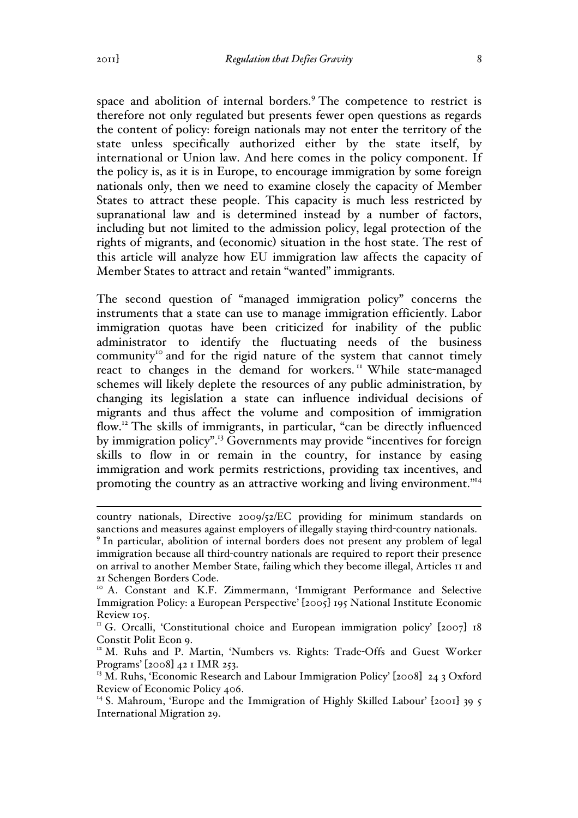space and abolition of internal borders.<sup>9</sup> The competence to restrict is therefore not only regulated but presents fewer open questions as regards the content of policy: foreign nationals may not enter the territory of the state unless specifically authorized either by the state itself, by international or Union law. And here comes in the policy component. If the policy is, as it is in Europe, to encourage immigration by some foreign nationals only, then we need to examine closely the capacity of Member States to attract these people. This capacity is much less restricted by supranational law and is determined instead by a number of factors, including but not limited to the admission policy, legal protection of the rights of migrants, and (economic) situation in the host state. The rest of this article will analyze how EU immigration law affects the capacity of Member States to attract and retain "wanted" immigrants.

The second question of "managed immigration policy" concerns the instruments that a state can use to manage immigration efficiently. Labor immigration quotas have been criticized for inability of the public administrator to identify the fluctuating needs of the business community<sup>10</sup> and for the rigid nature of the system that cannot timely react to changes in the demand for workers.<sup>11</sup> While state-managed schemes will likely deplete the resources of any public administration, by changing its legislation a state can influence individual decisions of migrants and thus affect the volume and composition of immigration flow.12 The skills of immigrants, in particular, "can be directly influenced by immigration policy".<sup>13</sup> Governments may provide "incentives for foreign skills to flow in or remain in the country, for instance by easing immigration and work permits restrictions, providing tax incentives, and promoting the country as an attractive working and living environment."<sup>14</sup>

country nationals, Directive 2009/52/EC providing for minimum standards on sanctions and measures against employers of illegally staying third-country nationals.

<sup>9</sup> In particular, abolition of internal borders does not present any problem of legal immigration because all third-country nationals are required to report their presence on arrival to another Member State, failing which they become illegal, Articles 11 and 21 Schengen Borders Code.

<sup>&</sup>lt;sup>10</sup> A. Constant and K.F. Zimmermann, 'Immigrant Performance and Selective Immigration Policy: a European Perspective' [2005] 195 National Institute Economic Review 105.

<sup>&</sup>lt;sup>11</sup> G. Orcalli, 'Constitutional choice and European immigration policy' [2007] 18 Constit Polit Econ 9.

<sup>&</sup>lt;sup>12</sup> M. Ruhs and P. Martin, 'Numbers vs. Rights: Trade-Offs and Guest Worker Programs' [2008] 42 1 IMR 253.

<sup>&</sup>lt;sup>13</sup> M. Ruhs, 'Economic Research and Labour Immigration Policy' [2008] 24 3 Oxford Review of Economic Policy 406.

<sup>&</sup>lt;sup>14</sup> S. Mahroum, 'Europe and the Immigration of Highly Skilled Labour' [2001] 39 5 International Migration 29.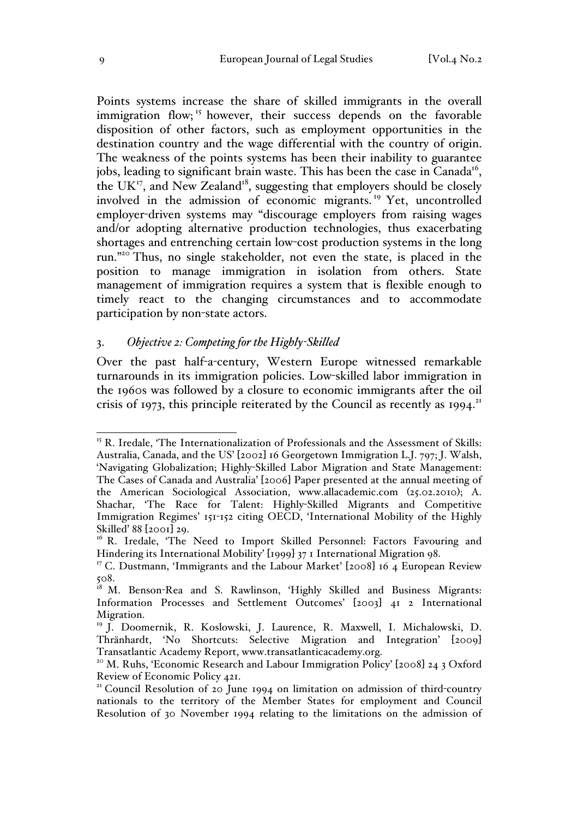Points systems increase the share of skilled immigrants in the overall immigration flow;<sup>15</sup> however, their success depends on the favorable disposition of other factors, such as employment opportunities in the destination country and the wage differential with the country of origin. The weakness of the points systems has been their inability to guarantee jobs, leading to significant brain waste. This has been the case in  $Canada^{16}$ , the  $UK<sup>17</sup>$ , and New Zealand<sup>18</sup>, suggesting that employers should be closely involved in the admission of economic migrants. <sup>19</sup> Yet, uncontrolled employer-driven systems may "discourage employers from raising wages and/or adopting alternative production technologies, thus exacerbating shortages and entrenching certain low-cost production systems in the long run."20 Thus, no single stakeholder, not even the state, is placed in the position to manage immigration in isolation from others. State management of immigration requires a system that is flexible enough to timely react to the changing circumstances and to accommodate participation by non-state actors.

## 3. *Objective 2: Competing for the Highly-Skilled*

Over the past half-a-century, Western Europe witnessed remarkable turnarounds in its immigration policies. Low-skilled labor immigration in the 1960s was followed by a closure to economic immigrants after the oil crisis of 1973, this principle reiterated by the Council as recently as  $1994$ <sup>21</sup>

<sup>&</sup>lt;sup>15</sup> R. Iredale, 'The Internationalization of Professionals and the Assessment of Skills: Australia, Canada, and the US' [2002] 16 Georgetown Immigration L.J. 797; J. Walsh, 'Navigating Globalization; Highly-Skilled Labor Migration and State Management: The Cases of Canada and Australia' [2006] Paper presented at the annual meeting of the American Sociological Association, www.allacademic.com (25.02.2010); A. Shachar, 'The Race for Talent: Highly-Skilled Migrants and Competitive Immigration Regimes' 151-152 citing OECD, 'International Mobility of the Highly Skilled' 88 [2001] 29.

<sup>&</sup>lt;sup>16</sup> R. Iredale, 'The Need to Import Skilled Personnel: Factors Favouring and Hindering its International Mobility' [1999] 37 1 International Migration 98.

<sup>&</sup>lt;sup>17</sup> C. Dustmann, 'Immigrants and the Labour Market' [2008] 16 4 European Review 508.

<sup>&</sup>lt;sup>18</sup> M. Benson-Rea and S. Rawlinson, 'Highly Skilled and Business Migrants: Information Processes and Settlement Outcomes' [2003] 41 2 International Migration.

<sup>19</sup> J. Doomernik, R. Koslowski, J. Laurence, R. Maxwell, I. Michalowski, D. Thränhardt, 'No Shortcuts: Selective Migration and Integration' [2009] Transatlantic Academy Report, www.transatlanticacademy.org. <sup>20</sup> M. Ruhs, 'Economic Research and Labour Immigration Policy' [2008] 24 3 Oxford

Review of Economic Policy 421.

<sup>&</sup>lt;sup>21</sup> Council Resolution of 20 June 1994 on limitation on admission of third-country nationals to the territory of the Member States for employment and Council Resolution of 30 November 1994 relating to the limitations on the admission of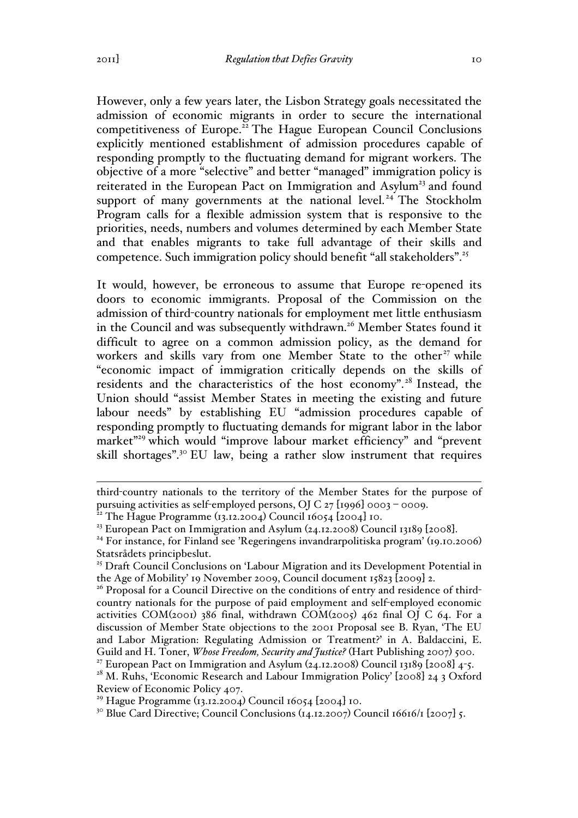However, only a few years later, the Lisbon Strategy goals necessitated the admission of economic migrants in order to secure the international competitiveness of Europe.<sup>22</sup> The Hague European Council Conclusions explicitly mentioned establishment of admission procedures capable of responding promptly to the fluctuating demand for migrant workers. The objective of a more "selective" and better "managed" immigration policy is reiterated in the European Pact on Immigration and Asylum<sup>23</sup> and found support of many governments at the national level.<sup>24</sup> The Stockholm Program calls for a flexible admission system that is responsive to the priorities, needs, numbers and volumes determined by each Member State and that enables migrants to take full advantage of their skills and competence. Such immigration policy should benefit "all stakeholders".<sup>25</sup>

It would, however, be erroneous to assume that Europe re-opened its doors to economic immigrants. Proposal of the Commission on the admission of third-country nationals for employment met little enthusiasm in the Council and was subsequently withdrawn.<sup>26</sup> Member States found it difficult to agree on a common admission policy, as the demand for workers and skills vary from one Member State to the other<sup>27</sup> while "economic impact of immigration critically depends on the skills of residents and the characteristics of the host economy".<sup>28</sup> Instead, the Union should "assist Member States in meeting the existing and future labour needs" by establishing EU "admission procedures capable of responding promptly to fluctuating demands for migrant labor in the labor market"<sup>29</sup> which would "improve labour market efficiency" and "prevent skill shortages".<sup>30</sup> EU law, being a rather slow instrument that requires

third-country nationals to the territory of the Member States for the purpose of pursuing activities as self-employed persons, OJ C  $27$  [1996] 0003 – 0009.<br><sup>22</sup> The Hague Programme (13.12.2004) Council 16054 [2004] 10.

<sup>&</sup>lt;sup>23</sup> European Pact on Immigration and Asylum (24.12.2008) Council 13189 [2008].<br><sup>24</sup> For instance, for Finland see 'Regeringens invandrarpolitiska program' (19.10.2006)

Statsrådets principbeslut.

<sup>&</sup>lt;sup>25</sup> Draft Council Conclusions on 'Labour Migration and its Development Potential in the Age of Mobility' 19 November 2009, Council document 15823 [2009] 2.

<sup>&</sup>lt;sup>26</sup> Proposal for a Council Directive on the conditions of entry and residence of thirdcountry nationals for the purpose of paid employment and self-employed economic activities COM(2001) 386 final, withdrawn COM(2005) 462 final OJ C 64. For a discussion of Member State objections to the 2001 Proposal see B. Ryan, 'The EU and Labor Migration: Regulating Admission or Treatment?' in A. Baldaccini, E. Guild and H. Toner, *Whose Freedom, Security and Justice?* (Hart Publishing 2007) 500. <sup>27</sup> European Pact on Immigration and Asylum (24.12.2008) Council 13189  $[2008]$  4-5.

<sup>&</sup>lt;sup>28</sup> M. Ruhs, 'Economic Research and Labour Immigration Policy' [2008] 24 3 Oxford Review of Economic Policy 407.

<sup>29</sup> Hague Programme (13.12.2004) Council 16054 [2004] 10.

<sup>&</sup>lt;sup>30</sup> Blue Card Directive; Council Conclusions (14.12.2007) Council 16616/1  $[2007]$  5.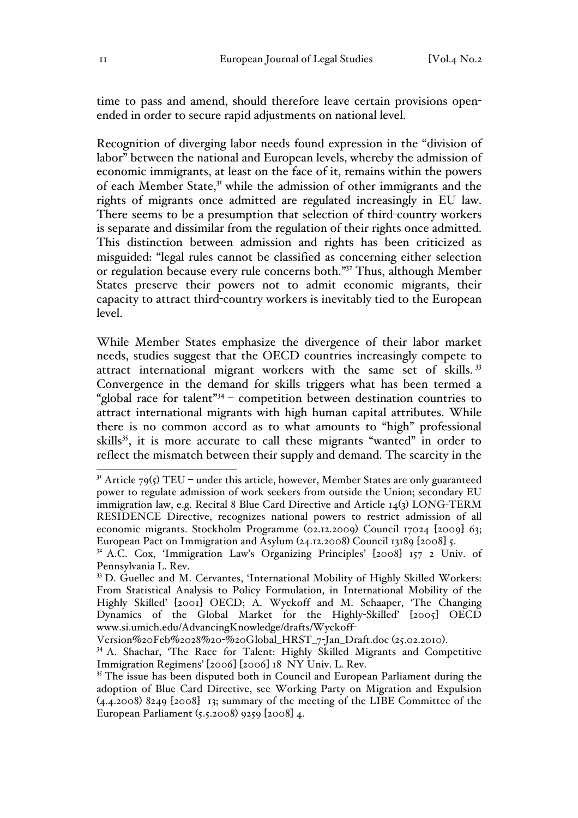time to pass and amend, should therefore leave certain provisions openended in order to secure rapid adjustments on national level.

Recognition of diverging labor needs found expression in the "division of labor" between the national and European levels, whereby the admission of economic immigrants, at least on the face of it, remains within the powers of each Member State,<sup>31</sup> while the admission of other immigrants and the rights of migrants once admitted are regulated increasingly in EU law. There seems to be a presumption that selection of third-country workers is separate and dissimilar from the regulation of their rights once admitted. This distinction between admission and rights has been criticized as misguided: "legal rules cannot be classified as concerning either selection or regulation because every rule concerns both."32 Thus, although Member States preserve their powers not to admit economic migrants, their capacity to attract third-country workers is inevitably tied to the European level.

While Member States emphasize the divergence of their labor market needs, studies suggest that the OECD countries increasingly compete to attract international migrant workers with the same set of skills.<sup>33</sup> Convergence in the demand for skills triggers what has been termed a "global race for talent"<sup>34</sup> – competition between destination countries to attract international migrants with high human capital attributes. While there is no common accord as to what amounts to "high" professional skills<sup>35</sup>, it is more accurate to call these migrants "wanted" in order to reflect the mismatch between their supply and demand. The scarcity in the

 $3<sup>T</sup>$  Article 79(5) TEU – under this article, however, Member States are only guaranteed power to regulate admission of work seekers from outside the Union; secondary EU immigration law, e.g. Recital 8 Blue Card Directive and Article 14(3) LONG-TERM RESIDENCE Directive, recognizes national powers to restrict admission of all economic migrants. Stockholm Programme (02.12.2009) Council 17024 [2009] 63; European Pact on Immigration and Asylum (24.12.2008) Council 13189 [2008] 5.

<sup>&</sup>lt;sup>32</sup> A.C. Cox, 'Immigration Law's Organizing Principles' [2008] 157 2 Univ. of Pennsylvania L. Rev.

<sup>33</sup> D. Guellec and M. Cervantes, 'International Mobility of Highly Skilled Workers: From Statistical Analysis to Policy Formulation, in International Mobility of the Highly Skilled' [2001] OECD; A. Wyckoff and M. Schaaper, 'The Changing Dynamics of the Global Market for the Highly-Skilled' [2005] OECD www.si.umich.edu/AdvancingKnowledge/drafts/Wyckoff-

Version%20Feb%2028%20-%20Global\_HRST\_7-Jan\_Draft.doc (25.02.2010). <sup>34</sup> A. Shachar, 'The Race for Talent: Highly Skilled Migrants and Competitive Immigration Regimens' [2006] [2006] 18 NY Univ. L. Rev.

 $35$  The issue has been disputed both in Council and European Parliament during the adoption of Blue Card Directive, see Working Party on Migration and Expulsion (4.4.2008) 8249 [2008] 13; summary of the meeting of the LIBE Committee of the European Parliament (5.5.2008) 9259 [2008] 4.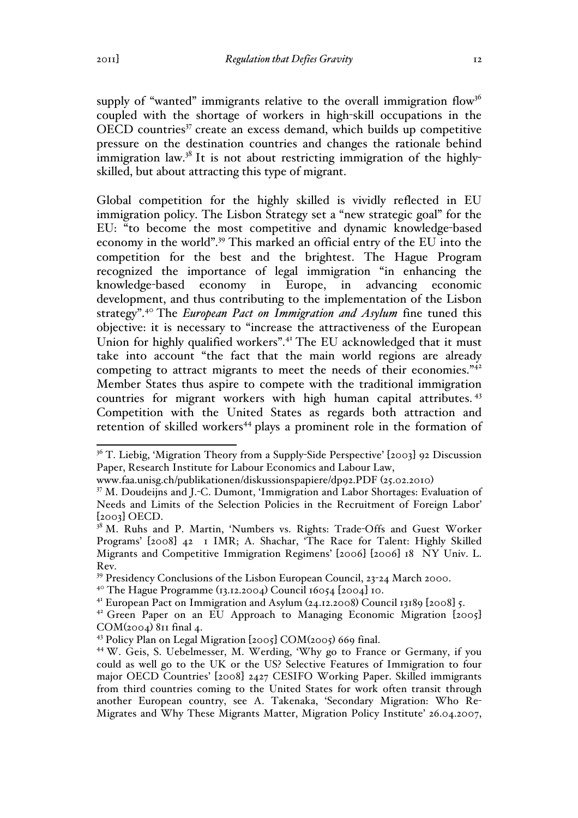supply of "wanted" immigrants relative to the overall immigration flow<sup>36</sup> coupled with the shortage of workers in high-skill occupations in the  $OECD$  countries<sup>37</sup> create an excess demand, which builds up competitive pressure on the destination countries and changes the rationale behind immigration law. $38$  It is not about restricting immigration of the highlyskilled, but about attracting this type of migrant.

Global competition for the highly skilled is vividly reflected in EU immigration policy. The Lisbon Strategy set a "new strategic goal" for the EU: "to become the most competitive and dynamic knowledge-based economy in the world".<sup>39</sup> This marked an official entry of the EU into the competition for the best and the brightest. The Hague Program recognized the importance of legal immigration "in enhancing the knowledge-based economy in Europe, in advancing economic development, and thus contributing to the implementation of the Lisbon strategy".<sup>40</sup> The *European Pact on Immigration and Asylum* fine tuned this objective: it is necessary to "increase the attractiveness of the European Union for highly qualified workers".<sup>41</sup> The EU acknowledged that it must take into account "the fact that the main world regions are already competing to attract migrants to meet the needs of their economies. $n_{42}$ Member States thus aspire to compete with the traditional immigration countries for migrant workers with high human capital attributes. <sup>43</sup> Competition with the United States as regards both attraction and retention of skilled workers<sup>44</sup> plays a prominent role in the formation of

<sup>&</sup>lt;sup>36</sup> T. Liebig, 'Migration Theory from a Supply-Side Perspective' [2003] 92 Discussion Paper, Research Institute for Labour Economics and Labour Law,

www.faa.unisg.ch/publikationen/diskussionspapiere/dp92.PDF (25.02.2010)

<sup>37</sup> M. Doudeijns and J.-C. Dumont, 'Immigration and Labor Shortages: Evaluation of Needs and Limits of the Selection Policies in the Recruitment of Foreign Labor' [2003] OECD.

<sup>&</sup>lt;sup>38</sup> M. Ruhs and P. Martin, 'Numbers vs. Rights: Trade-Offs and Guest Worker Programs' [2008] 42 1 IMR; A. Shachar, 'The Race for Talent: Highly Skilled Migrants and Competitive Immigration Regimens' [2006] [2006] 18 NY Univ. L. Rev.

<sup>&</sup>lt;sup>39</sup> Presidency Conclusions of the Lisbon European Council, 23-24 March 2000.

<sup>&</sup>lt;sup>40</sup> The Hague Programme (13.12.2004) Council 16054 [2004] 10.

<sup>41</sup> European Pact on Immigration and Asylum (24.12.2008) Council 13189 [2008] 5.

<sup>&</sup>lt;sup>42</sup> Green Paper on an EU Approach to Managing Economic Migration [2005] COM(2004) 811 final 4.

<sup>43</sup> Policy Plan on Legal Migration [2005] COM(2005) 669 final.

<sup>44</sup> W. Geis, S. Uebelmesser, M. Werding, 'Why go to France or Germany, if you could as well go to the UK or the US? Selective Features of Immigration to four major OECD Countries' [2008] 2427 CESIFO Working Paper. Skilled immigrants from third countries coming to the United States for work often transit through another European country, see A. Takenaka, 'Secondary Migration: Who Re-Migrates and Why These Migrants Matter, Migration Policy Institute' 26.04.2007,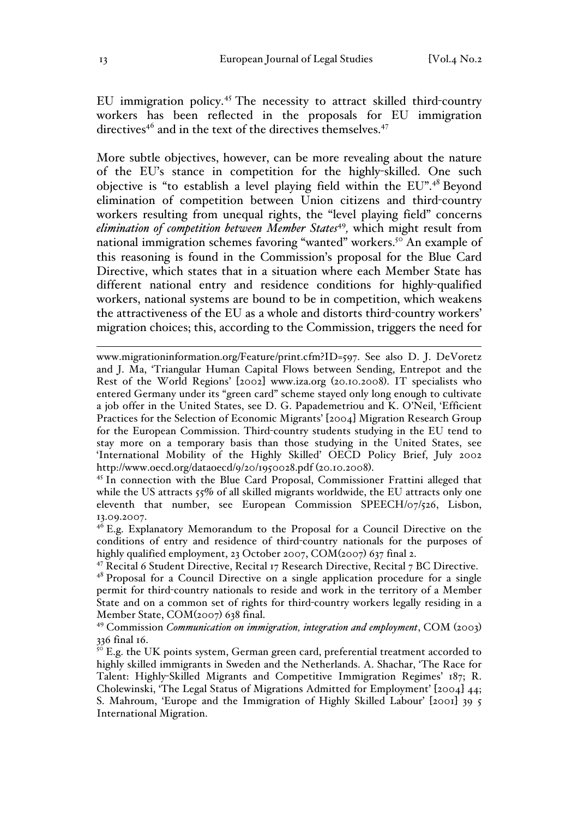EU immigration policy.<sup>45</sup> The necessity to attract skilled third-country workers has been reflected in the proposals for EU immigration directives $46$  and in the text of the directives themselves. $47$ 

More subtle objectives, however, can be more revealing about the nature of the EU's stance in competition for the highly-skilled. One such objective is "to establish a level playing field within the EU".48 Beyond elimination of competition between Union citizens and third-country workers resulting from unequal rights, the "level playing field" concerns *elimination of competition between Member States*<sup>49</sup>*,* which might result from national immigration schemes favoring "wanted" workers.<sup>50</sup> An example of this reasoning is found in the Commission's proposal for the Blue Card Directive, which states that in a situation where each Member State has different national entry and residence conditions for highly-qualified workers, national systems are bound to be in competition, which weakens the attractiveness of the EU as a whole and distorts third-country workers' migration choices; this, according to the Commission, triggers the need for

 www.migrationinformation.org/Feature/print.cfm?ID=597. See also D. J. DeVoretz and J. Ma, 'Triangular Human Capital Flows between Sending, Entrepot and the Rest of the World Regions' [2002] www.iza.org (20.10.2008). IT specialists who entered Germany under its "green card" scheme stayed only long enough to cultivate a job offer in the United States, see D. G. Papademetriou and K. O'Neil, 'Efficient Practices for the Selection of Economic Migrants' [2004] Migration Research Group for the European Commission. Third-country students studying in the EU tend to stay more on a temporary basis than those studying in the United States, see 'International Mobility of the Highly Skilled' OECD Policy Brief, July 2002 http://www.oecd.org/dataoecd/9/20/1950028.pdf (20.10.2008). <sup>45</sup> In connection with the Blue Card Proposal, Commissioner Frattini alleged that

while the US attracts 55% of all skilled migrants worldwide, the EU attracts only one eleventh that number, see European Commission SPEECH/07/526, Lisbon, 13.09.2007.

<sup>46</sup> E.g. Explanatory Memorandum to the Proposal for a Council Directive on the conditions of entry and residence of third-country nationals for the purposes of highly qualified employment, 23 October 2007, COM(2007) 637 final 2.

<sup>47</sup> Recital 6 Student Directive, Recital 17 Research Directive, Recital 7 BC Directive.  $48$  Proposal for a Council Directive on a single application procedure for a single permit for third-country nationals to reside and work in the territory of a Member State and on a common set of rights for third-country workers legally residing in a Member State, COM(2007) 638 final.

<sup>49</sup> Commission *Communication on immigration, integration and employment*, COM (2003) 336 final 16.

 $\overline{s^{\circ}}$  E.g. the UK points system, German green card, preferential treatment accorded to highly skilled immigrants in Sweden and the Netherlands. A. Shachar, 'The Race for Talent: Highly-Skilled Migrants and Competitive Immigration Regimes' 187; R. Cholewinski, 'The Legal Status of Migrations Admitted for Employment' [2004] 44; S. Mahroum, 'Europe and the Immigration of Highly Skilled Labour' [2001] 39 5 International Migration.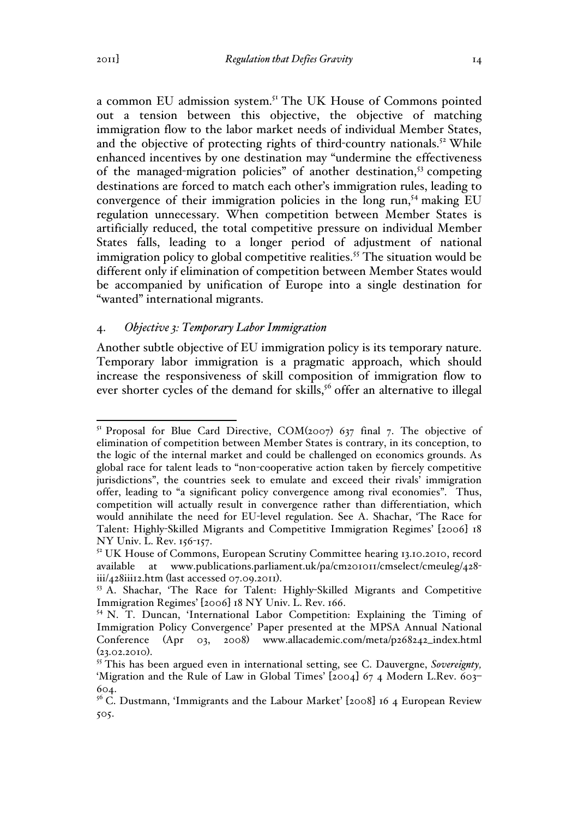a common EU admission system.51 The UK House of Commons pointed out a tension between this objective, the objective of matching immigration flow to the labor market needs of individual Member States, and the objective of protecting rights of third-country nationals.<sup>52</sup> While enhanced incentives by one destination may "undermine the effectiveness of the managed-migration policies" of another destination,<sup>53</sup> competing destinations are forced to match each other's immigration rules, leading to convergence of their immigration policies in the long run,<sup>54</sup> making EU regulation unnecessary. When competition between Member States is artificially reduced, the total competitive pressure on individual Member States falls, leading to a longer period of adjustment of national immigration policy to global competitive realities.<sup>55</sup> The situation would be different only if elimination of competition between Member States would be accompanied by unification of Europe into a single destination for "wanted" international migrants.

### 4. *Objective 3: Temporary Labor Immigration*

Another subtle objective of EU immigration policy is its temporary nature. Temporary labor immigration is a pragmatic approach, which should increase the responsiveness of skill composition of immigration flow to ever shorter cycles of the demand for skills,<sup>56</sup> offer an alternative to illegal

<sup>&</sup>lt;sup>51</sup> Proposal for Blue Card Directive, COM(2007) 637 final 7. The objective of elimination of competition between Member States is contrary, in its conception, to the logic of the internal market and could be challenged on economics grounds. As global race for talent leads to "non-cooperative action taken by fiercely competitive jurisdictions", the countries seek to emulate and exceed their rivals' immigration offer, leading to "a significant policy convergence among rival economies". Thus, competition will actually result in convergence rather than differentiation, which would annihilate the need for EU-level regulation. See A. Shachar, 'The Race for Talent: Highly-Skilled Migrants and Competitive Immigration Regimes' [2006] 18 NY Univ. L. Rev. 156-157.

<sup>&</sup>lt;sup>52</sup> UK House of Commons, European Scrutiny Committee hearing 13.10.2010, record available at www.publications.parliament.uk/pa/cm201011/cmselect/cmeuleg/428 iii/428iii12.htm (last accessed 07.09.2011). <sup>53</sup> A. Shachar, 'The Race for Talent: Highly-Skilled Migrants and Competitive

Immigration Regimes' [2006] 18 NY Univ. L. Rev. 166.

<sup>54</sup> N. T. Duncan, 'International Labor Competition: Explaining the Timing of Immigration Policy Convergence' Paper presented at the MPSA Annual National Conference (Apr 03, 2008) www.allacademic.com/meta/p268242\_index.html (23.02.2010). <sup>55</sup> This has been argued even in international setting, see C. Dauvergne, *Sovereignty,* 

<sup>&#</sup>x27;Migration and the Rule of Law in Global Times' [2004] 67 4 Modern L.Rev. 603– 604.

<sup>&</sup>lt;sup>56</sup> C. Dustmann, 'Immigrants and the Labour Market' [2008] 16 4 European Review 505.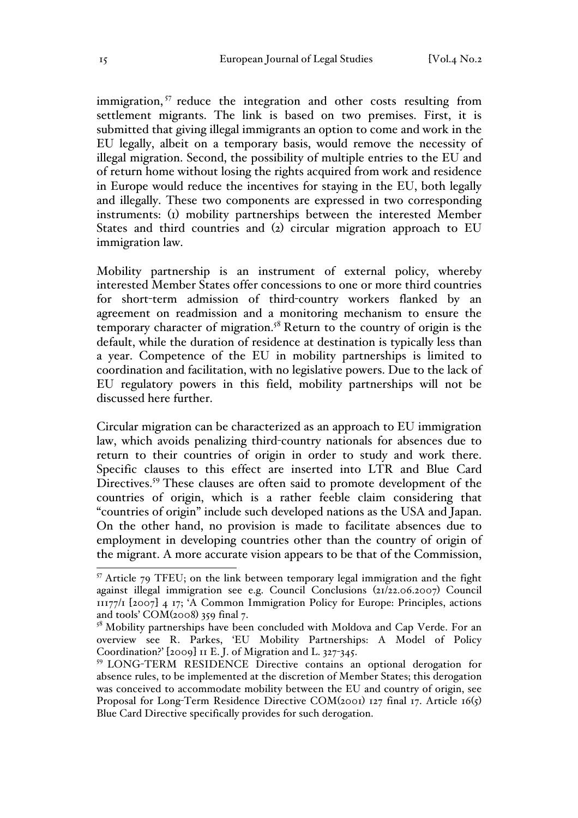immigration,<sup>57</sup> reduce the integration and other costs resulting from settlement migrants. The link is based on two premises. First, it is submitted that giving illegal immigrants an option to come and work in the EU legally, albeit on a temporary basis, would remove the necessity of illegal migration. Second, the possibility of multiple entries to the EU and of return home without losing the rights acquired from work and residence in Europe would reduce the incentives for staying in the EU, both legally and illegally. These two components are expressed in two corresponding instruments: (1) mobility partnerships between the interested Member States and third countries and (2) circular migration approach to EU immigration law.

Mobility partnership is an instrument of external policy, whereby interested Member States offer concessions to one or more third countries for short-term admission of third-country workers flanked by an agreement on readmission and a monitoring mechanism to ensure the temporary character of migration.<sup>58</sup> Return to the country of origin is the default, while the duration of residence at destination is typically less than a year. Competence of the EU in mobility partnerships is limited to coordination and facilitation, with no legislative powers. Due to the lack of EU regulatory powers in this field, mobility partnerships will not be discussed here further.

Circular migration can be characterized as an approach to EU immigration law, which avoids penalizing third-country nationals for absences due to return to their countries of origin in order to study and work there. Specific clauses to this effect are inserted into LTR and Blue Card Directives.<sup>59</sup> These clauses are often said to promote development of the countries of origin, which is a rather feeble claim considering that "countries of origin" include such developed nations as the USA and Japan. On the other hand, no provision is made to facilitate absences due to employment in developing countries other than the country of origin of the migrant. A more accurate vision appears to be that of the Commission,

 $57$  Article 79 TFEU; on the link between temporary legal immigration and the fight against illegal immigration see e.g. Council Conclusions (21/22.06.2007) Council 11177/1 [2007] 4 17; 'A Common Immigration Policy for Europe: Principles, actions and tools' COM(2008) 359 final 7.

<sup>&</sup>lt;sup>58</sup> Mobility partnerships have been concluded with Moldova and Cap Verde. For an overview see R. Parkes, 'EU Mobility Partnerships: A Model of Policy Coordination?' [2009] 11 E. J. of Migration and L. 327-345.

<sup>59</sup> LONG-TERM RESIDENCE Directive contains an optional derogation for absence rules, to be implemented at the discretion of Member States; this derogation was conceived to accommodate mobility between the EU and country of origin, see Proposal for Long-Term Residence Directive COM(2001) 127 final 17. Article 16(5) Blue Card Directive specifically provides for such derogation.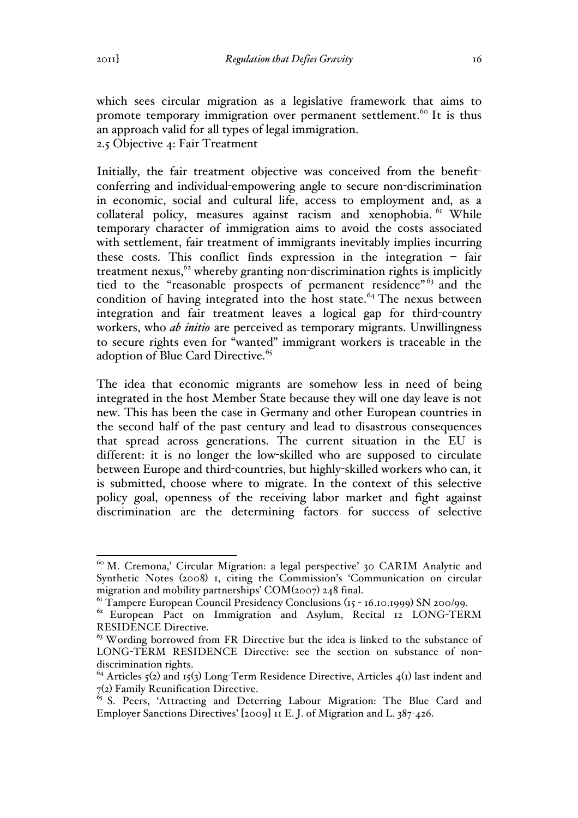which sees circular migration as a legislative framework that aims to promote temporary immigration over permanent settlement.<sup>60</sup> It is thus an approach valid for all types of legal immigration. 2.5 Objective 4: Fair Treatment

Initially, the fair treatment objective was conceived from the benefitconferring and individual-empowering angle to secure non-discrimination in economic, social and cultural life, access to employment and, as a collateral policy, measures against racism and xenophobia. <sup>61</sup> While temporary character of immigration aims to avoid the costs associated with settlement, fair treatment of immigrants inevitably implies incurring these costs. This conflict finds expression in the integration – fair treatment nexus, $62$  whereby granting non-discrimination rights is implicitly tied to the "reasonable prospects of permanent residence"<sup>63</sup> and the condition of having integrated into the host state.<sup>64</sup> The nexus between integration and fair treatment leaves a logical gap for third-country workers, who *ab initio* are perceived as temporary migrants. Unwillingness to secure rights even for "wanted" immigrant workers is traceable in the adoption of Blue Card Directive.<sup>65</sup>

The idea that economic migrants are somehow less in need of being integrated in the host Member State because they will one day leave is not new. This has been the case in Germany and other European countries in the second half of the past century and lead to disastrous consequences that spread across generations. The current situation in the EU is different: it is no longer the low-skilled who are supposed to circulate between Europe and third-countries, but highly-skilled workers who can, it is submitted, choose where to migrate. In the context of this selective policy goal, openness of the receiving labor market and fight against discrimination are the determining factors for success of selective

<sup>&</sup>lt;sup>60</sup> M. Cremona,' Circular Migration: a legal perspective' 30 CARIM Analytic and Synthetic Notes (2008) 1, citing the Commission's 'Communication on circular migration and mobility partnerships' COM(2007) 248 final.

<sup>&</sup>lt;sup>61</sup> Tampere European Council Presidency Conclusions (15 - 16.10.1999) SN 200/99.

<sup>&</sup>lt;sup>62</sup> European Pact on Immigration and Asylum, Recital 12 LONG-TERM RESIDENCE Directive.

 $63$  Wording borrowed from FR Directive but the idea is linked to the substance of LONG-TERM RESIDENCE Directive: see the section on substance of nondiscrimination rights.

<sup>&</sup>lt;sup>64</sup> Articles  $\zeta$ (2) and  $\zeta$ (3) Long-Term Residence Directive, Articles  $\zeta$ (1) last indent and

 $7(2)$  Family Reunification Directive.<br><sup>65</sup> S. Peers, 'Attracting and Deterring Labour Migration: The Blue Card and Employer Sanctions Directives' [2009] 11 E. J. of Migration and L. 387-426.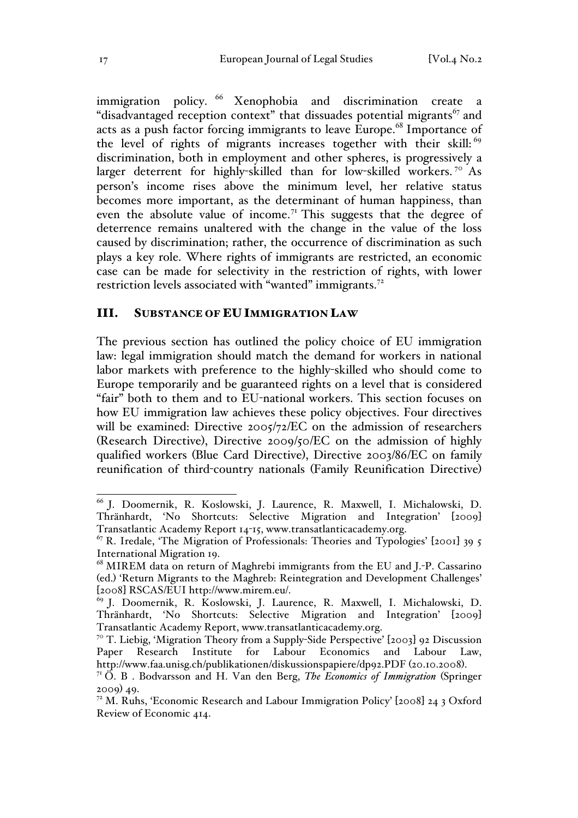immigration policy. <sup>66</sup> Xenophobia and discrimination create a "disadvantaged reception context" that dissuades potential migrants<sup>67</sup> and acts as a push factor forcing immigrants to leave Europe. $^{68}$  Importance of the level of rights of migrants increases together with their skill:  $^{69}$ discrimination, both in employment and other spheres, is progressively a larger deterrent for highly-skilled than for low-skilled workers.<sup>70</sup> As person's income rises above the minimum level, her relative status becomes more important, as the determinant of human happiness, than even the absolute value of income.<sup>71</sup> This suggests that the degree of deterrence remains unaltered with the change in the value of the loss caused by discrimination; rather, the occurrence of discrimination as such plays a key role. Where rights of immigrants are restricted, an economic case can be made for selectivity in the restriction of rights, with lower restriction levels associated with "wanted" immigrants.<sup>72</sup>

## III. SUBSTANCE OF EU IMMIGRATION LAW

The previous section has outlined the policy choice of EU immigration law: legal immigration should match the demand for workers in national labor markets with preference to the highly-skilled who should come to Europe temporarily and be guaranteed rights on a level that is considered "fair" both to them and to EU-national workers. This section focuses on how EU immigration law achieves these policy objectives. Four directives will be examined: Directive 2005/72/EC on the admission of researchers (Research Directive), Directive 2009/50/EC on the admission of highly qualified workers (Blue Card Directive), Directive 2003/86/EC on family reunification of third-country nationals (Family Reunification Directive)

 <sup>66</sup> J. Doomernik, R. Koslowski, J. Laurence, R. Maxwell, I. Michalowski, D. Thränhardt, 'No Shortcuts: Selective Migration and Integration' [2009]

 $67$  R. Iredale, 'The Migration of Professionals: Theories and Typologies' [2001] 39 5 International Migration 19.

<sup>68</sup> MIREM data on return of Maghrebi immigrants from the EU and J.-P. Cassarino (ed.) 'Return Migrants to the Maghreb: Reintegration and Development Challenges'

<sup>&</sup>lt;sup>69</sup> J. Doomernik, R. Koslowski, J. Laurence, R. Maxwell, I. Michalowski, D. Thränhardt, 'No Shortcuts: Selective Migration and Integration' [2009] Transatlantic Academy Report, www.transatlanticacademy.org.<br><sup>70</sup> T. Liebig, 'Migration Theory from a Supply-Side Perspective' [2003] 92 Discussion

Paper Research Institute for Labour Economics and Labour Law,<br>http://www.faa.unisg.ch/publikationen/diskussionspapiere/dp92.PDF (20.10.2008).

 $h^{\text{7D}}$   $\bullet$  B. Bodvarsson and H. Van den Berg, *The Economics of Immigration* (Springer) 2009) 49.

<sup>72</sup> M. Ruhs, 'Economic Research and Labour Immigration Policy' [2008] 24 3 Oxford Review of Economic 414.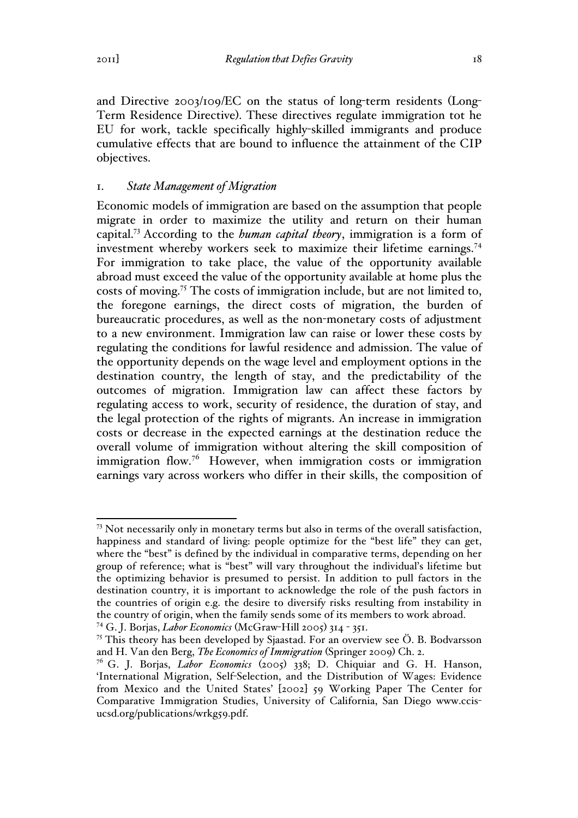and Directive 2003/109/EC on the status of long-term residents (Long-Term Residence Directive). These directives regulate immigration tot he EU for work, tackle specifically highly-skilled immigrants and produce cumulative effects that are bound to influence the attainment of the CIP objectives.

# 1. *State Management of Migration*

Economic models of immigration are based on the assumption that people migrate in order to maximize the utility and return on their human capital.73 According to the *human capital theory*, immigration is a form of investment whereby workers seek to maximize their lifetime earnings.<sup>74</sup> For immigration to take place, the value of the opportunity available abroad must exceed the value of the opportunity available at home plus the costs of moving.75 The costs of immigration include, but are not limited to, the foregone earnings, the direct costs of migration, the burden of bureaucratic procedures, as well as the non-monetary costs of adjustment to a new environment. Immigration law can raise or lower these costs by regulating the conditions for lawful residence and admission. The value of the opportunity depends on the wage level and employment options in the destination country, the length of stay, and the predictability of the outcomes of migration. Immigration law can affect these factors by regulating access to work, security of residence, the duration of stay, and the legal protection of the rights of migrants. An increase in immigration costs or decrease in the expected earnings at the destination reduce the overall volume of immigration without altering the skill composition of immigration flow.<sup>76</sup> However, when immigration costs or immigration earnings vary across workers who differ in their skills, the composition of

 $73$  Not necessarily only in monetary terms but also in terms of the overall satisfaction, happiness and standard of living: people optimize for the "best life" they can get, where the "best" is defined by the individual in comparative terms, depending on her group of reference; what is "best" will vary throughout the individual's lifetime but the optimizing behavior is presumed to persist. In addition to pull factors in the destination country, it is important to acknowledge the role of the push factors in the countries of origin e.g. the desire to diversify risks resulting from instability in the country of origin, when the family sends some of its members to work abroad.

<sup>74</sup> G. J. Borjas, *Labor Economics* (McGraw-Hill 2005) 314 - 351.

 $75$  This theory has been developed by Sjaastad. For an overview see  $\ddot{\text{O}}$ . B. Bodvarsson and H. Van den Berg, *The Economics of Immigration* (Springer 2009) Ch. 2.

<sup>76</sup> G. J. Borjas, *Labor Economics* (2005) 338; D. Chiquiar and G. H. Hanson, 'International Migration, Self-Selection, and the Distribution of Wages: Evidence from Mexico and the United States' [2002] 59 Working Paper The Center for Comparative Immigration Studies, University of California, San Diego www.ccisucsd.org/publications/wrkg59.pdf.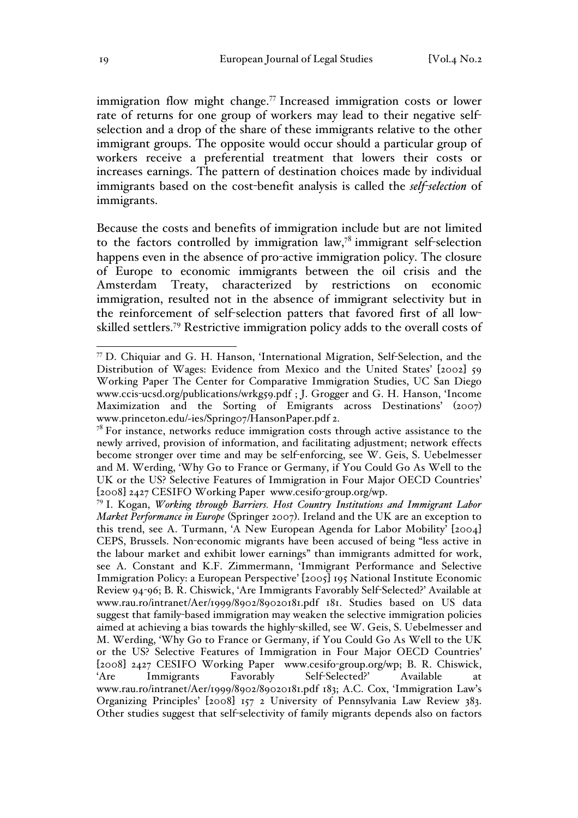immigration flow might change.<sup>77</sup> Increased immigration costs or lower rate of returns for one group of workers may lead to their negative selfselection and a drop of the share of these immigrants relative to the other immigrant groups. The opposite would occur should a particular group of workers receive a preferential treatment that lowers their costs or increases earnings. The pattern of destination choices made by individual immigrants based on the cost-benefit analysis is called the *self-selection* of immigrants.

Because the costs and benefits of immigration include but are not limited to the factors controlled by immigration  $law<sub>1</sub><sup>78</sup>$  immigrant self-selection happens even in the absence of pro-active immigration policy. The closure of Europe to economic immigrants between the oil crisis and the Amsterdam Treaty, characterized by restrictions on economic immigration, resulted not in the absence of immigrant selectivity but in the reinforcement of self-selection patters that favored first of all lowskilled settlers.<sup>79</sup> Restrictive immigration policy adds to the overall costs of

 <sup>77</sup> D. Chiquiar and G. H. Hanson, 'International Migration, Self-Selection, and the Distribution of Wages: Evidence from Mexico and the United States' [2002] 59 Working Paper The Center for Comparative Immigration Studies, UC San Diego www.ccis-ucsd.org/publications/wrkg59.pdf ; J. Grogger and G. H. Hanson, 'Income Maximization and the Sorting of Emigrants across Destinations' (2007) www.princeton.edu/~ies/Spring07/HansonPaper.pdf 2.

 $78$  For instance, networks reduce immigration costs through active assistance to the newly arrived, provision of information, and facilitating adjustment; network effects become stronger over time and may be self-enforcing, see W. Geis, S. Uebelmesser and M. Werding, 'Why Go to France or Germany, if You Could Go As Well to the UK or the US? Selective Features of Immigration in Four Major OECD Countries' [2008] 2427 CESIFO Working Paper www.cesifo-group.org/wp. <sup>79</sup> I. Kogan, *Working through Barriers. Host Country Institutions and Immigrant Labor* 

*Market Performance in Europe* (Springer 2007). Ireland and the UK are an exception to this trend, see A. Turmann, 'A New European Agenda for Labor Mobility' [2004] CEPS, Brussels. Non-economic migrants have been accused of being "less active in the labour market and exhibit lower earnings" than immigrants admitted for work, see A. Constant and K.F. Zimmermann, 'Immigrant Performance and Selective Immigration Policy: a European Perspective' [2005] 195 National Institute Economic Review 94-96; B. R. Chiswick, 'Are Immigrants Favorably Self-Selected?' Available at www.rau.ro/intranet/Aer/1999/8902/89020181.pdf 181. Studies based on US data suggest that family-based immigration may weaken the selective immigration policies aimed at achieving a bias towards the highly-skilled, see W. Geis, S. Uebelmesser and M. Werding, 'Why Go to France or Germany, if You Could Go As Well to the UK or the US? Selective Features of Immigration in Four Major OECD Countries' [2008] 2427 CESIFO Working Paper www.cesifo-group.org/wp; B. R. Chiswick, 'Are Immigrants Favorably Self-Selected?' Available at www.rau.ro/intranet/Aer/1999/8902/89020181.pdf 183; A.C. Cox, 'Immigration Law's Organizing Principles' [2008] 157 2 University of Pennsylvania Law Review 383. Other studies suggest that self-selectivity of family migrants depends also on factors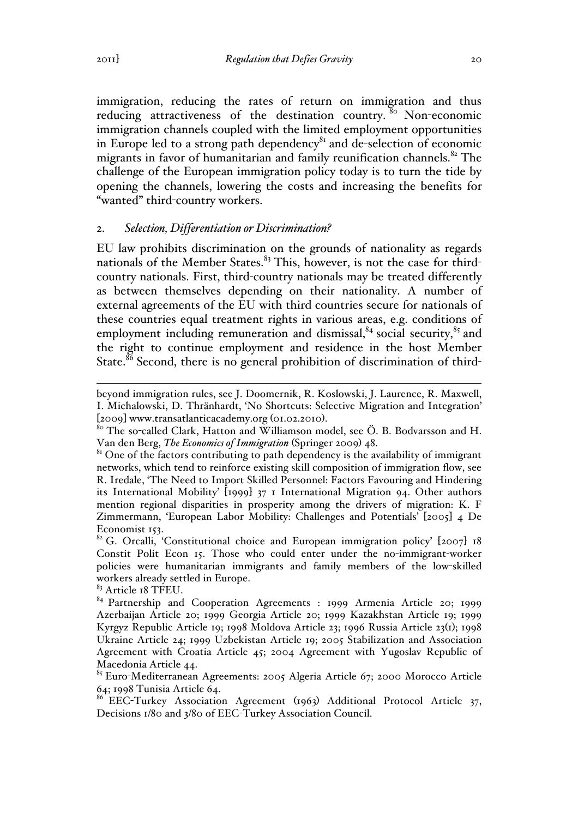immigration, reducing the rates of return on immigration and thus reducing attractiveness of the destination country.  $80^{\circ}$  Non-economic immigration channels coupled with the limited employment opportunities in Europe led to a strong path dependency $\delta$ <sup>s</sup> and de-selection of economic migrants in favor of humanitarian and family reunification channels.<sup>82</sup> The challenge of the European immigration policy today is to turn the tide by opening the channels, lowering the costs and increasing the benefits for "wanted" third-country workers.

#### 2. *Selection, Differentiation or Discrimination?*

EU law prohibits discrimination on the grounds of nationality as regards nationals of the Member States. $83$  This, however, is not the case for thirdcountry nationals. First, third-country nationals may be treated differently as between themselves depending on their nationality. A number of external agreements of the EU with third countries secure for nationals of these countries equal treatment rights in various areas, e.g. conditions of employment including remuneration and dismissal, $^{84}$  social security, $^{85}$  and the right to continue employment and residence in the host Member State.<sup>86</sup> Second, there is no general prohibition of discrimination of third-

<sup>83</sup> Article 18 TFEU.

beyond immigration rules, see J. Doomernik, R. Koslowski, J. Laurence, R. Maxwell, I. Michalowski, D. Thränhardt, 'No Shortcuts: Selective Migration and Integration'

<sup>[</sup>2009] www.transatlanticacademy.org (01.02.2010). <sup>80</sup> The so-called Clark, Hatton and Williamson model, see Ö. B. Bodvarsson and H. Van den Berg, *The Economics of Immigration* (Springer 2009) 48.

<sup>&</sup>lt;sup>81</sup> One of the factors contributing to path dependency is the availability of immigrant networks, which tend to reinforce existing skill composition of immigration flow, see R. Iredale, 'The Need to Import Skilled Personnel: Factors Favouring and Hindering its International Mobility' [1999] 37 1 International Migration 94. Other authors mention regional disparities in prosperity among the drivers of migration: K. F Zimmermann, 'European Labor Mobility: Challenges and Potentials' [2005] 4 De Economist 153.

 $82$  G. Orcalli, 'Constitutional choice and European immigration policy' [2007] 18 Constit Polit Econ 15. Those who could enter under the no-immigrant-worker policies were humanitarian immigrants and family members of the low-skilled workers already settled in Europe.

<sup>&</sup>lt;sup>84</sup> Partnership and Cooperation Agreements : 1999 Armenia Article 20; 1999 Azerbaijan Article 20; 1999 Georgia Article 20; 1999 Kazakhstan Article 19; 1999 Kyrgyz Republic Article 19; 1998 Moldova Article 23; 1996 Russia Article 23(1); 1998 Ukraine Article 24; 1999 Uzbekistan Article 19; 2005 Stabilization and Association Agreement with Croatia Article 45; 2004 Agreement with Yugoslav Republic of Macedonia Article 44.

<sup>85</sup> Euro-Mediterranean Agreements: 2005 Algeria Article 67; 2000 Morocco Article 64; 1998 Tunisia Article 64.

<sup>&</sup>lt;sup>86</sup> EEC-Turkey Association Agreement (1963) Additional Protocol Article 37, Decisions 1/80 and 3/80 of EEC-Turkey Association Council.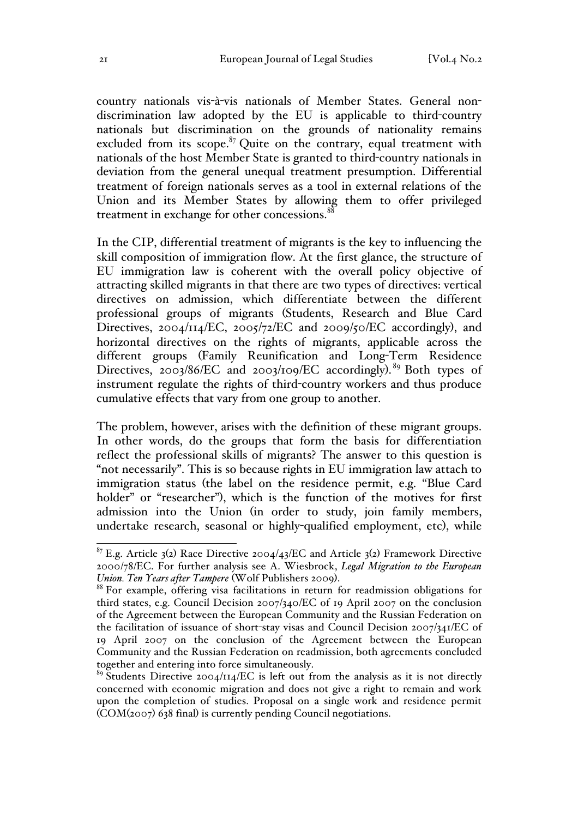country nationals vis-à-vis nationals of Member States. General nondiscrimination law adopted by the EU is applicable to third-country nationals but discrimination on the grounds of nationality remains excluded from its scope. $87$  Quite on the contrary, equal treatment with nationals of the host Member State is granted to third-country nationals in deviation from the general unequal treatment presumption. Differential treatment of foreign nationals serves as a tool in external relations of the Union and its Member States by allowing them to offer privileged treatment in exchange for other concessions.<sup>88</sup>

In the CIP, differential treatment of migrants is the key to influencing the skill composition of immigration flow. At the first glance, the structure of EU immigration law is coherent with the overall policy objective of attracting skilled migrants in that there are two types of directives: vertical directives on admission, which differentiate between the different professional groups of migrants (Students, Research and Blue Card Directives, 2004/114/EC, 2005/72/EC and 2009/50/EC accordingly), and horizontal directives on the rights of migrants, applicable across the different groups (Family Reunification and Long-Term Residence Directives, 2003/86/EC and 2003/109/EC accordingly).<sup>89</sup> Both types of instrument regulate the rights of third-country workers and thus produce cumulative effects that vary from one group to another.

The problem, however, arises with the definition of these migrant groups. In other words, do the groups that form the basis for differentiation reflect the professional skills of migrants? The answer to this question is "not necessarily". This is so because rights in EU immigration law attach to immigration status (the label on the residence permit, e.g. "Blue Card holder" or "researcher"), which is the function of the motives for first admission into the Union (in order to study, join family members, undertake research, seasonal or highly-qualified employment, etc), while

 $87$  E.g. Article 3(2) Race Directive 2004/43/EC and Article 3(2) Framework Directive 2000/78/EC. For further analysis see A. Wiesbrock, *Legal Migration to the European Union. Ten Years after Tampere* (Wolf Publishers 2009).<br><sup>88</sup> For example, offering visa facilitations in return for readmission obligations for

third states, e.g. Council Decision 2007/340/EC of 19 April 2007 on the conclusion of the Agreement between the European Community and the Russian Federation on the facilitation of issuance of short-stay visas and Council Decision 2007/341/EC of 19 April 2007 on the conclusion of the Agreement between the European Community and the Russian Federation on readmission, both agreements concluded

 $89$  Students Directive 2004/114/EC is left out from the analysis as it is not directly concerned with economic migration and does not give a right to remain and work upon the completion of studies. Proposal on a single work and residence permit (COM(2007) 638 final) is currently pending Council negotiations.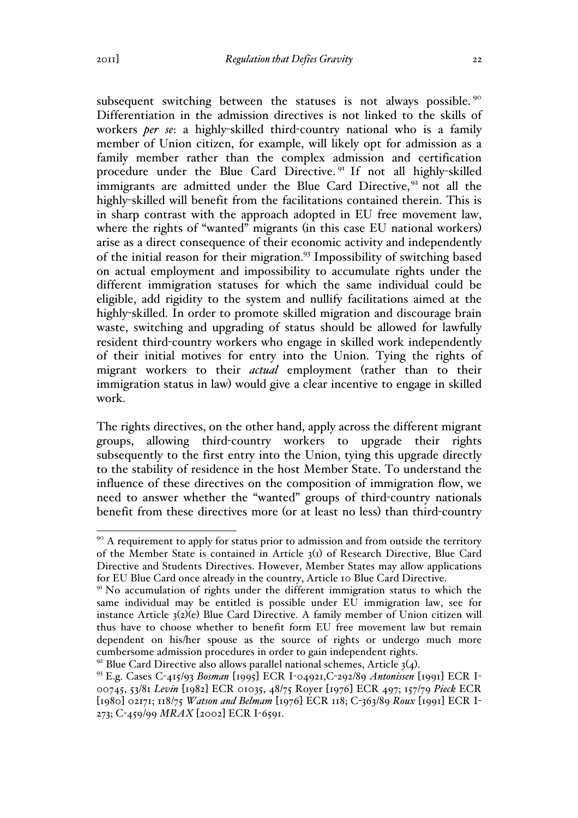subsequent switching between the statuses is not always possible.<sup>90</sup> Differentiation in the admission directives is not linked to the skills of workers *per se*: a highly-skilled third-country national who is a family member of Union citizen, for example, will likely opt for admission as a family member rather than the complex admission and certification procedure under the Blue Card Directive.<sup>91</sup> If not all highly-skilled immigrants are admitted under the Blue Card Directive,  $92$  not all the highly-skilled will benefit from the facilitations contained therein. This is in sharp contrast with the approach adopted in EU free movement law, where the rights of "wanted" migrants (in this case EU national workers) arise as a direct consequence of their economic activity and independently of the initial reason for their migration.<sup>93</sup> Impossibility of switching based on actual employment and impossibility to accumulate rights under the different immigration statuses for which the same individual could be eligible, add rigidity to the system and nullify facilitations aimed at the highly-skilled. In order to promote skilled migration and discourage brain waste, switching and upgrading of status should be allowed for lawfully resident third-country workers who engage in skilled work independently of their initial motives for entry into the Union. Tying the rights of migrant workers to their *actual* employment (rather than to their immigration status in law) would give a clear incentive to engage in skilled work.

The rights directives, on the other hand, apply across the different migrant groups, allowing third-country workers to upgrade their rights subsequently to the first entry into the Union, tying this upgrade directly to the stability of residence in the host Member State. To understand the influence of these directives on the composition of immigration flow, we need to answer whether the "wanted" groups of third-country nationals benefit from these directives more (or at least no less) than third-country

<sup>&</sup>lt;sup>90</sup> A requirement to apply for status prior to admission and from outside the territory of the Member State is contained in Article 3(1) of Research Directive, Blue Card Directive and Students Directives. However, Member States may allow applications for EU Blue Card once already in the country, Article 10 Blue Card Directive.

 $91$ <sup>91</sup> No accumulation of rights under the different immigration status to which the same individual may be entitled is possible under EU immigration law, see for instance Article 3(2)(e) Blue Card Directive. A family member of Union citizen will thus have to choose whether to benefit form EU free movement law but remain dependent on his/her spouse as the source of rights or undergo much more cumbersome admission procedures in order to gain independent rights.

<sup>92</sup> Blue Card Directive also allows parallel national schemes, Article 3(4). <sup>93</sup> E.g. Cases C-415/93 *Bosman* [1995] ECR I-04921,C-292/89 *Antonissen* [1991] ECR I-00745, 53/81 *Levin* [1982] ECR 01035, 48/75 Royer [1976] ECR 497; 157/79 *Pieck* ECR [1980] 02171; 118/75 *Watson and Belmam* [1976] ECR 118; C-363/89 *Roux* [1991] ECR I-273; C-459/99 *MRAX* [2002] ECR I-6591.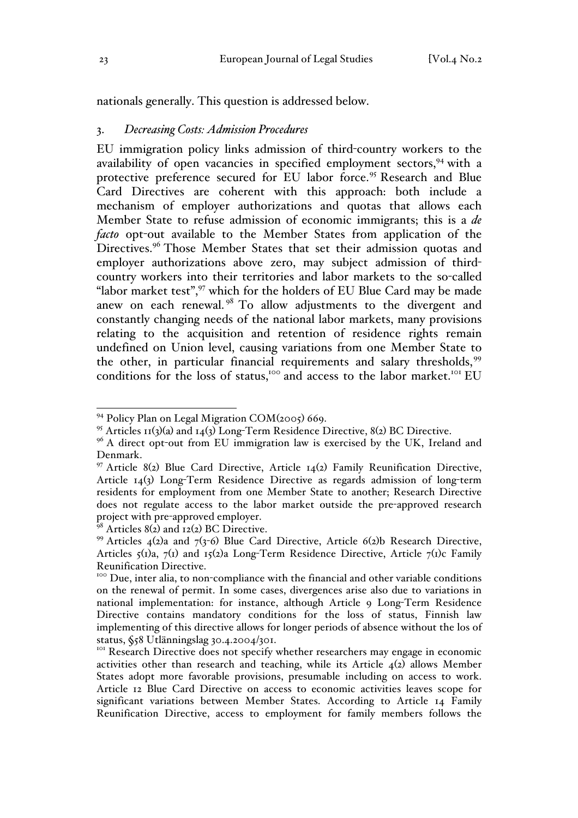nationals generally. This question is addressed below.

#### 3. *Decreasing Costs: Admission Procedures*

EU immigration policy links admission of third-country workers to the availability of open vacancies in specified employment sectors,  $94$  with a protective preference secured for EU labor force.<sup>95</sup> Research and Blue Card Directives are coherent with this approach: both include a mechanism of employer authorizations and quotas that allows each Member State to refuse admission of economic immigrants; this is a *de facto* opt-out available to the Member States from application of the Directives.<sup>96</sup> Those Member States that set their admission quotas and employer authorizations above zero, may subject admission of thirdcountry workers into their territories and labor markets to the so-called "labor market test",<sup>97</sup> which for the holders of EU Blue Card may be made anew on each renewal. <sup>98</sup> To allow adjustments to the divergent and constantly changing needs of the national labor markets, many provisions relating to the acquisition and retention of residence rights remain undefined on Union level, causing variations from one Member State to the other, in particular financial requirements and salary thresholds,<sup>99</sup> conditions for the loss of status,<sup>100</sup> and access to the labor market.<sup>101</sup> EU

 $\overrightarrow{98}$  Articles 8(2) and 12(2) BC Directive.

<sup>&</sup>lt;sup>94</sup> Policy Plan on Legal Migration COM(2005) 669.

<sup>&</sup>lt;sup>95</sup> Articles 11(3)(a) and 14(3) Long-Term Residence Directive, 8(2) BC Directive.

<sup>&</sup>lt;sup>96</sup> A direct opt-out from EU immigration law is exercised by the UK, Ireland and Denmark.

<sup>&</sup>lt;sup>97</sup> Article 8(2) Blue Card Directive, Article 14(2) Family Reunification Directive, Article 14(3) Long-Term Residence Directive as regards admission of long-term residents for employment from one Member State to another; Research Directive does not regulate access to the labor market outside the pre-approved research project with pre-approved employer.

<sup>&</sup>lt;sup>99</sup> Articles  $4(2)a$  and  $7(3-6)$  Blue Card Directive, Article  $6(2)b$  Research Directive, Articles  $5(i)a$ ,  $7(i)$  and  $15(2)a$  Long-Term Residence Directive, Article  $7(i)c$  Family Reunification Directive.

<sup>&</sup>lt;sup>100</sup> Due, inter alia, to non-compliance with the financial and other variable conditions on the renewal of permit. In some cases, divergences arise also due to variations in national implementation: for instance, although Article 9 Long-Term Residence Directive contains mandatory conditions for the loss of status, Finnish law implementing of this directive allows for longer periods of absence without the los of status, §58 Utlänningslag 30.4.2004/301.<br><sup>101</sup> Research Directive does not specify whether researchers may engage in economic

activities other than research and teaching, while its Article  $4(2)$  allows Member States adopt more favorable provisions, presumable including on access to work. Article 12 Blue Card Directive on access to economic activities leaves scope for significant variations between Member States. According to Article 14 Family Reunification Directive, access to employment for family members follows the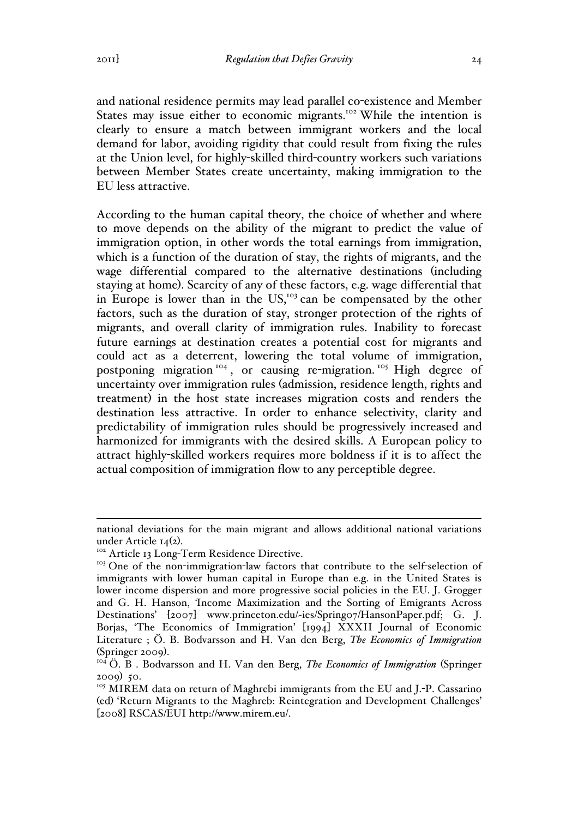and national residence permits may lead parallel co-existence and Member States may issue either to economic migrants.<sup>102</sup> While the intention is clearly to ensure a match between immigrant workers and the local demand for labor, avoiding rigidity that could result from fixing the rules at the Union level, for highly-skilled third-country workers such variations between Member States create uncertainty, making immigration to the EU less attractive.

According to the human capital theory, the choice of whether and where to move depends on the ability of the migrant to predict the value of immigration option, in other words the total earnings from immigration, which is a function of the duration of stay, the rights of migrants, and the wage differential compared to the alternative destinations (including staying at home). Scarcity of any of these factors, e.g. wage differential that in Europe is lower than in the US,<sup>103</sup> can be compensated by the other factors, such as the duration of stay, stronger protection of the rights of migrants, and overall clarity of immigration rules. Inability to forecast future earnings at destination creates a potential cost for migrants and could act as a deterrent, lowering the total volume of immigration, postponing migration<sup>104</sup>, or causing re-migration.<sup>105</sup> High degree of uncertainty over immigration rules (admission, residence length, rights and treatment) in the host state increases migration costs and renders the destination less attractive. In order to enhance selectivity, clarity and predictability of immigration rules should be progressively increased and harmonized for immigrants with the desired skills. A European policy to attract highly-skilled workers requires more boldness if it is to affect the actual composition of immigration flow to any perceptible degree.

national deviations for the main migrant and allows additional national variations under Article 14(2).<br><sup>102</sup> Article 13 Long-Term Residence Directive.

<sup>&</sup>lt;sup>103</sup> One of the non-immigration-law factors that contribute to the self-selection of immigrants with lower human capital in Europe than e.g. in the United States is lower income dispersion and more progressive social policies in the EU. J. Grogger and G. H. Hanson, *'*Income Maximization and the Sorting of Emigrants Across Destinations' [2007] www.princeton.edu/-ies/Spring07/HansonPaper.pdf; G. J. Borjas, 'The Economics of Immigration' [1994] XXXII Journal of Economic Literature ; Ö. B. Bodvarsson and H. Van den Berg, *The Economics of Immigration* (Springer 2009). <sup>104</sup> Ö. B . Bodvarsson and H. Van den Berg, *The Economics of Immigration* (Springer

 $2009$   $50.$ 

<sup>&</sup>lt;sup>105</sup> MIREM data on return of Maghrebi immigrants from the EU and J.-P. Cassarino (ed) 'Return Migrants to the Maghreb: Reintegration and Development Challenges' [2008] RSCAS/EUI http://www.mirem.eu/.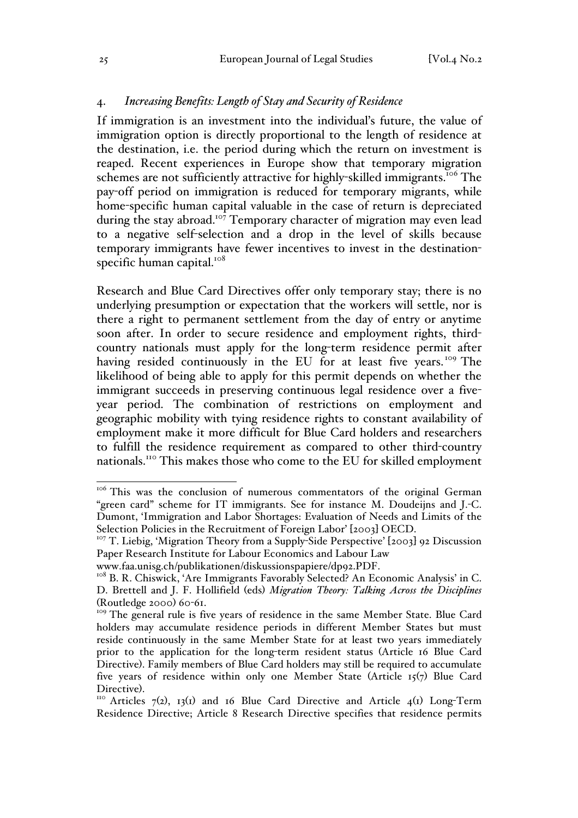# 4. *Increasing Benefits: Length of Stay and Security of Residence*

If immigration is an investment into the individual's future, the value of immigration option is directly proportional to the length of residence at the destination, i.e. the period during which the return on investment is reaped. Recent experiences in Europe show that temporary migration schemes are not sufficiently attractive for highly-skilled immigrants.<sup>106</sup> The pay-off period on immigration is reduced for temporary migrants, while home-specific human capital valuable in the case of return is depreciated during the stay abroad.<sup>107</sup> Temporary character of migration may even lead to a negative self-selection and a drop in the level of skills because temporary immigrants have fewer incentives to invest in the destinationspecific human capital.<sup>108</sup>

Research and Blue Card Directives offer only temporary stay; there is no underlying presumption or expectation that the workers will settle, nor is there a right to permanent settlement from the day of entry or anytime soon after. In order to secure residence and employment rights, thirdcountry nationals must apply for the long-term residence permit after having resided continuously in the EU for at least five years.<sup>109</sup> The likelihood of being able to apply for this permit depends on whether the immigrant succeeds in preserving continuous legal residence over a fiveyear period. The combination of restrictions on employment and geographic mobility with tying residence rights to constant availability of employment make it more difficult for Blue Card holders and researchers to fulfill the residence requirement as compared to other third-country nationals.<sup>110</sup> This makes those who come to the EU for skilled employment

<sup>&</sup>lt;sup>106</sup> This was the conclusion of numerous commentators of the original German "green card" scheme for IT immigrants. See for instance M. Doudeijns and J.-C. Dumont, 'Immigration and Labor Shortages: Evaluation of Needs and Limits of the Selection Policies in the Recruitment of Foreign Labor' [2003] OECD.

<sup>&</sup>lt;sup>107</sup> T. Liebig, 'Migration Theory from a Supply-Side Perspective' [2003] 92 Discussion Paper Research Institute for Labour Economics and Labour Law

www.faa.unisg.ch/publikationen/diskussionspapiere/dp92.PDF.<br><sup>108</sup> B. R. Chiswick, 'Are Immigrants Favorably Selected? An Economic Analysis' in C. D. Brettell and J. F. Hollifield (eds) *Migration Theory: Talking Across the Disciplines* (Routledge 2000) 60-61.

<sup>&</sup>lt;sup>109</sup> The general rule is five years of residence in the same Member State. Blue Card holders may accumulate residence periods in different Member States but must reside continuously in the same Member State for at least two years immediately prior to the application for the long-term resident status (Article 16 Blue Card Directive). Family members of Blue Card holders may still be required to accumulate five years of residence within only one Member State (Article  $15(7)$  Blue Card Directive).<br><sup>110</sup> Articles 7(2), 13(1) and 16 Blue Card Directive and Article 4(1) Long-Term

Residence Directive; Article 8 Research Directive specifies that residence permits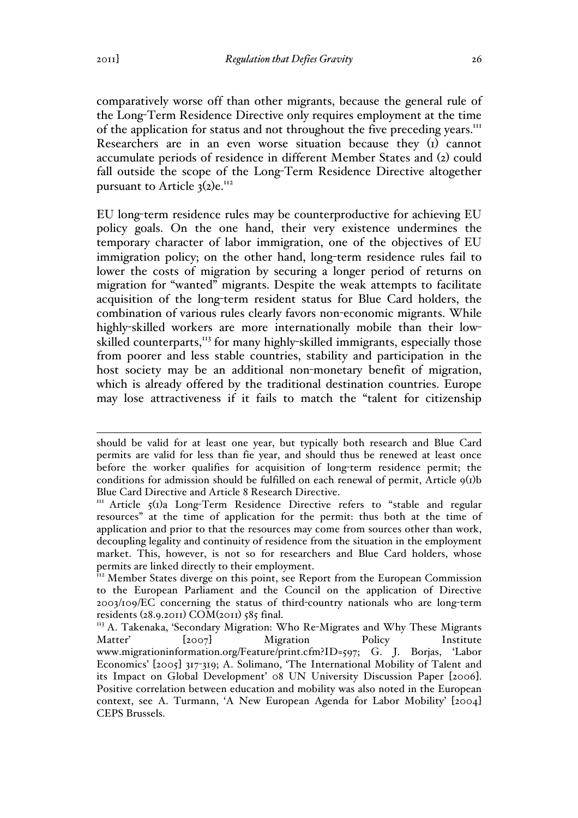comparatively worse off than other migrants, because the general rule of the Long-Term Residence Directive only requires employment at the time of the application for status and not throughout the five preceding years.<sup>111</sup> Researchers are in an even worse situation because they (1) cannot accumulate periods of residence in different Member States and (2) could fall outside the scope of the Long-Term Residence Directive altogether pursuant to Article  $3(2)e^{112}$ 

EU long-term residence rules may be counterproductive for achieving EU policy goals. On the one hand, their very existence undermines the temporary character of labor immigration, one of the objectives of EU immigration policy; on the other hand, long-term residence rules fail to lower the costs of migration by securing a longer period of returns on migration for "wanted" migrants. Despite the weak attempts to facilitate acquisition of the long-term resident status for Blue Card holders, the combination of various rules clearly favors non-economic migrants. While highly-skilled workers are more internationally mobile than their lowskilled counterparts,<sup>113</sup> for many highly-skilled immigrants, especially those from poorer and less stable countries, stability and participation in the host society may be an additional non-monetary benefit of migration, which is already offered by the traditional destination countries. Europe may lose attractiveness if it fails to match the "talent for citizenship

should be valid for at least one year, but typically both research and Blue Card permits are valid for less than fie year, and should thus be renewed at least once before the worker qualifies for acquisition of long-term residence permit; the conditions for admission should be fulfilled on each renewal of permit, Article 9(1)b Blue Card Directive and Article 8 Research Directive.<br><sup>111</sup> Article  $\zeta(1)a$  Long-Term Residence Directive refers to "stable and regular

resources" at the time of application for the permit: thus both at the time of application and prior to that the resources may come from sources other than work, decoupling legality and continuity of residence from the situation in the employment market. This, however, is not so for researchers and Blue Card holders, whose permits are linked directly to their employment.

<sup>&</sup>lt;sup>112</sup> Member States diverge on this point, see Report from the European Commission to the European Parliament and the Council on the application of Directive 2003/109/EC concerning the status of third-country nationals who are long-term residents (28.9.2011) COM(2011)  $585$  final.

<sup>&</sup>lt;sup>113</sup> A. Takenaka, 'Secondary Migration: Who Re-Migrates and Why These Migrants Matter' [2007] Migration Policy Institute www.migrationinformation.org/Feature/print.cfm?ID=597; G. J. Borjas, 'Labor Economics' [2005] 317-319; A. Solimano, 'The International Mobility of Talent and its Impact on Global Development' 08 UN University Discussion Paper [2006]. Positive correlation between education and mobility was also noted in the European context, see A. Turmann, 'A New European Agenda for Labor Mobility' [2004] CEPS Brussels.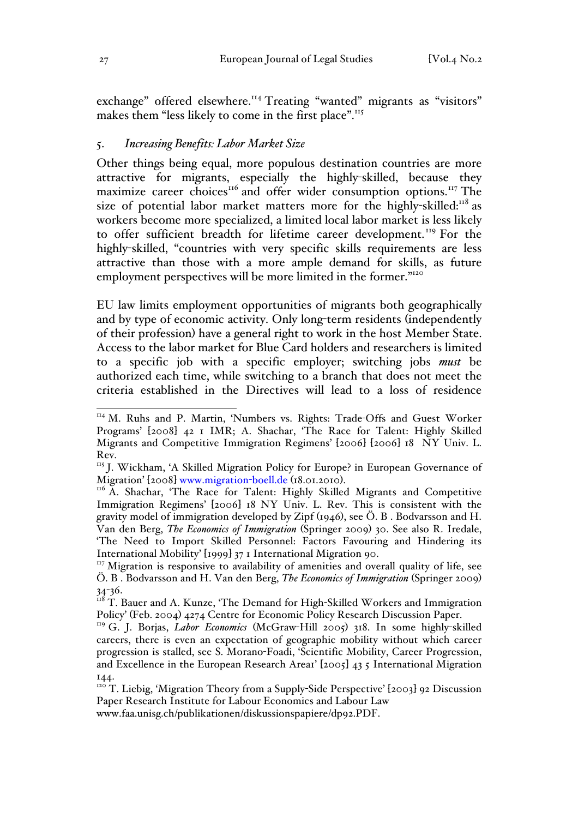exchange" offered elsewhere.<sup>114</sup> Treating "wanted" migrants as "visitors" makes them "less likely to come in the first place".<sup>115</sup>

### 5. *Increasing Benefits: Labor Market Size*

Other things being equal, more populous destination countries are more attractive for migrants, especially the highly-skilled, because they maximize career choices<sup>116</sup> and offer wider consumption options.<sup>117</sup> The size of potential labor market matters more for the highly-skilled: $118$  as workers become more specialized, a limited local labor market is less likely to offer sufficient breadth for lifetime career development.<sup>119</sup> For the highly-skilled, "countries with very specific skills requirements are less attractive than those with a more ample demand for skills, as future employment perspectives will be more limited in the former."<sup>120</sup>

EU law limits employment opportunities of migrants both geographically and by type of economic activity. Only long-term residents (independently of their profession) have a general right to work in the host Member State. Access to the labor market for Blue Card holders and researchers is limited to a specific job with a specific employer; switching jobs *must* be authorized each time, while switching to a branch that does not meet the criteria established in the Directives will lead to a loss of residence

<sup>&</sup>lt;sup>114</sup> M. Ruhs and P. Martin, 'Numbers vs. Rights: Trade-Offs and Guest Worker Programs' [2008] 42 1 IMR; A. Shachar, 'The Race for Talent: Highly Skilled Migrants and Competitive Immigration Regimens' [2006] [2006] 18 NY Univ. L. Rev.

<sup>&</sup>lt;sup>115</sup> J. Wickham, 'A Skilled Migration Policy for Europe? in European Governance of Migration' [2008] www.migration-boell.de (18.01.2010).

<sup>&</sup>lt;sup>116</sup> A. Shachar, 'The Race for Talent: Highly Skilled Migrants and Competitive Immigration Regimens' [2006] 18 NY Univ. L. Rev. This is consistent with the gravity model of immigration developed by Zipf  $(1946)$ , see Ö. B. Bodvarsson and H. Van den Berg, *The Economics of Immigration* (Springer 2009) 30. See also R. Iredale, 'The Need to Import Skilled Personnel: Factors Favouring and Hindering its International Mobility' [1999] 37 1 International Migration 90.

 $117$  Migration is responsive to availability of amenities and overall quality of life, see Ö. B . Bodvarsson and H. Van den Berg, *The Economics of Immigration* (Springer 2009) 34-36.

 $118$  T. Bauer and A. Kunze, 'The Demand for High-Skilled Workers and Immigration Policy' (Feb. 2004) 4274 Centre for Economic Policy Research Discussion Paper.

<sup>119</sup> G. J. Borjas, *Labor Economics* (McGraw-Hill 2005) 318. In some highly-skilled careers, there is even an expectation of geographic mobility without which career progression is stalled, see S. Morano-Foadi, 'Scientific Mobility, Career Progression, and Excellence in the European Research Arear' [2005] 43.5 International Migration 144.

 $120$  T. Liebig, 'Migration Theory from a Supply-Side Perspective' [2003] 92 Discussion Paper Research Institute for Labour Economics and Labour Law

www.faa.unisg.ch/publikationen/diskussionspapiere/dp92.PDF.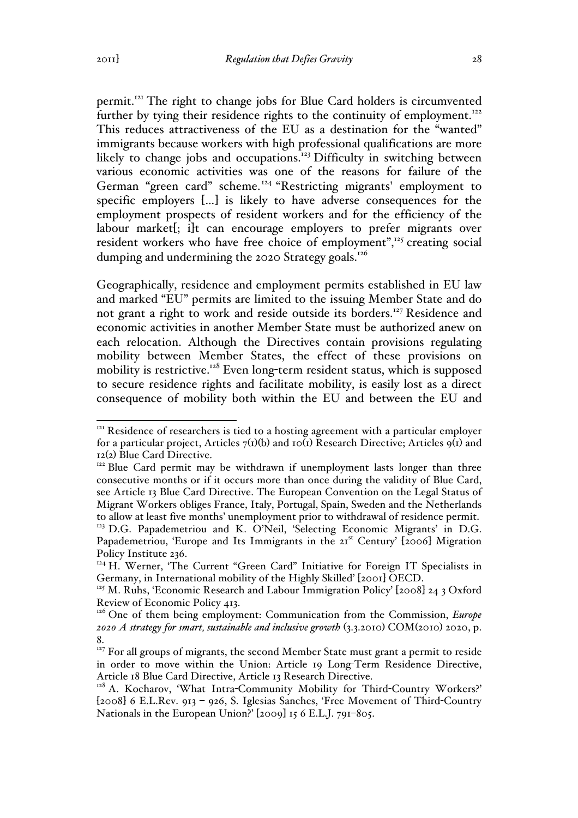permit.121 The right to change jobs for Blue Card holders is circumvented further by tying their residence rights to the continuity of employment.<sup>122</sup> This reduces attractiveness of the EU as a destination for the "wanted" immigrants because workers with high professional qualifications are more likely to change jobs and occupations.<sup>123</sup> Difficulty in switching between various economic activities was one of the reasons for failure of the German "green card" scheme.<sup>124</sup> "Restricting migrants' employment to specific employers […] is likely to have adverse consequences for the employment prospects of resident workers and for the efficiency of the labour market[; i]t can encourage employers to prefer migrants over resident workers who have free choice of employment",<sup>125</sup> creating social dumping and undermining the 2020 Strategy goals.<sup>126</sup>

Geographically, residence and employment permits established in EU law and marked "EU" permits are limited to the issuing Member State and do not grant a right to work and reside outside its borders.<sup>127</sup> Residence and economic activities in another Member State must be authorized anew on each relocation. Although the Directives contain provisions regulating mobility between Member States, the effect of these provisions on mobility is restrictive.<sup>128</sup> Even long-term resident status, which is supposed to secure residence rights and facilitate mobility, is easily lost as a direct consequence of mobility both within the EU and between the EU and

<sup>&</sup>lt;sup>121</sup> Residence of researchers is tied to a hosting agreement with a particular employer for a particular project, Articles  $7(1)(b)$  and  $10(1)$  Research Directive; Articles  $9(1)$  and 12(2) Blue Card Directive.<br><sup>122</sup> Blue Card permit may be withdrawn if unemployment lasts longer than three

consecutive months or if it occurs more than once during the validity of Blue Card, see Article 13 Blue Card Directive. The European Convention on the Legal Status of Migrant Workers obliges France, Italy, Portugal, Spain, Sweden and the Netherlands to allow at least five months' unemployment prior to withdrawal of residence permit. <sup>123</sup> D.G. Papademetriou and K. O'Neil, 'Selecting Economic Migrants' in D.G.

Papademetriou, 'Europe and Its Immigrants in the 21<sup>st</sup> Century' [2006] Migration Policy Institute 236.

<sup>&</sup>lt;sup>124</sup> H. Werner, 'The Current "Green Card" Initiative for Foreign IT Specialists in Germany, in International mobility of the Highly Skilled' [2001] OECD.

 $125$  M. Ruhs, 'Economic Research and Labour Immigration Policy' [2008] 24 3 Oxford Review of Economic Policy 413.

<sup>&</sup>lt;sup>126</sup> One of them being employment: Communication from the Commission, *Europe 2020 A strategy for smart, sustainable and inclusive growth* (3.3.2010) COM(2010) 2020, p. 8.

<sup>&</sup>lt;sup>127</sup> For all groups of migrants, the second Member State must grant a permit to reside in order to move within the Union: Article 19 Long-Term Residence Directive, Article 18 Blue Card Directive, Article 13 Research Directive.

<sup>&</sup>lt;sup>128</sup> A. Kocharov, 'What Intra-Community Mobility for Third-Country Workers?' [2008] 6 E.L.Rev. 913 – 926, S. Iglesias Sanches, 'Free Movement of Third-Country Nationals in the European Union?' [2009] 15 6 E.L.J. 791–805.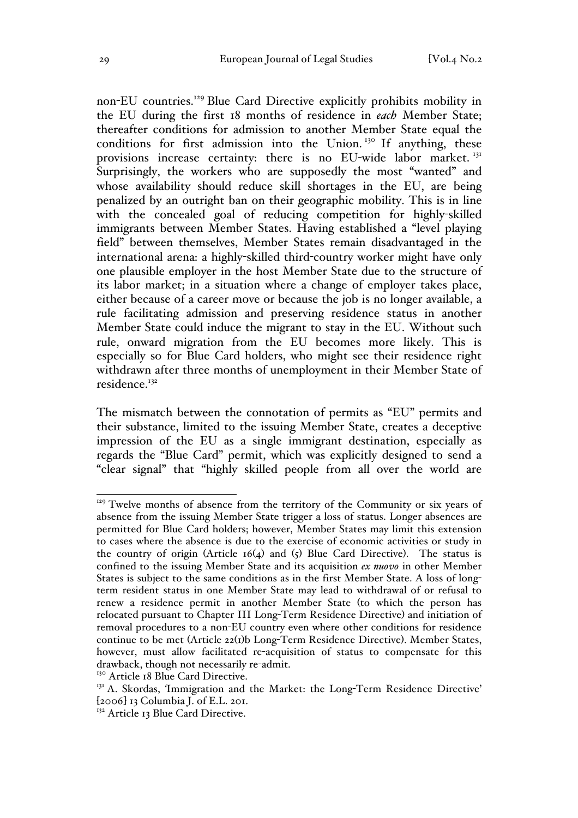non-EU countries.<sup>129</sup> Blue Card Directive explicitly prohibits mobility in the EU during the first 18 months of residence in *each* Member State; thereafter conditions for admission to another Member State equal the conditions for first admission into the Union.<sup>130</sup> If anything, these provisions increase certainty: there is no EU-wide labor market.<sup>131</sup> Surprisingly, the workers who are supposedly the most "wanted" and whose availability should reduce skill shortages in the EU, are being penalized by an outright ban on their geographic mobility. This is in line with the concealed goal of reducing competition for highly-skilled immigrants between Member States. Having established a "level playing field" between themselves, Member States remain disadvantaged in the international arena: a highly-skilled third-country worker might have only one plausible employer in the host Member State due to the structure of its labor market; in a situation where a change of employer takes place, either because of a career move or because the job is no longer available, a rule facilitating admission and preserving residence status in another Member State could induce the migrant to stay in the EU. Without such rule, onward migration from the EU becomes more likely. This is especially so for Blue Card holders, who might see their residence right withdrawn after three months of unemployment in their Member State of  $residence<sup>132</sup>$ 

The mismatch between the connotation of permits as "EU" permits and their substance, limited to the issuing Member State, creates a deceptive impression of the EU as a single immigrant destination, especially as regards the "Blue Card" permit, which was explicitly designed to send a "clear signal" that "highly skilled people from all over the world are

<sup>&</sup>lt;sup>129</sup> Twelve months of absence from the territory of the Community or six years of absence from the issuing Member State trigger a loss of status. Longer absences are permitted for Blue Card holders; however, Member States may limit this extension to cases where the absence is due to the exercise of economic activities or study in the country of origin (Article  $16(4)$  and (5) Blue Card Directive). The status is confined to the issuing Member State and its acquisition *ex nuovo* in other Member States is subject to the same conditions as in the first Member State. A loss of longterm resident status in one Member State may lead to withdrawal of or refusal to renew a residence permit in another Member State (to which the person has relocated pursuant to Chapter III Long-Term Residence Directive) and initiation of removal procedures to a non-EU country even where other conditions for residence continue to be met (Article 22(1)b Long-Term Residence Directive). Member States, however, must allow facilitated re-acquisition of status to compensate for this drawback, though not necessarily re-admit.

<sup>&</sup>lt;sup>130</sup> Article 18 Blue Card Directive.

<sup>&</sup>lt;sup>131</sup> A. Skordas, <sup>T</sup>mmigration and the Market: the Long-Term Residence Directive' [2006] 13 Columbia J. of E.L. 201.

<sup>&</sup>lt;sup>132</sup> Article 13 Blue Card Directive.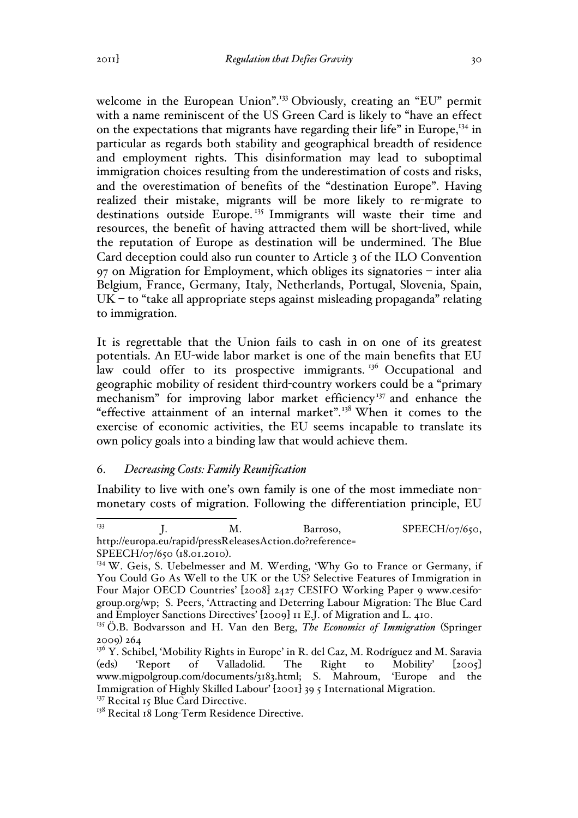welcome in the European Union".<sup>133</sup> Obviously, creating an "EU" permit with a name reminiscent of the US Green Card is likely to "have an effect on the expectations that migrants have regarding their life" in Europe,<sup> $^{134}$ </sup> in particular as regards both stability and geographical breadth of residence and employment rights. This disinformation may lead to suboptimal immigration choices resulting from the underestimation of costs and risks, and the overestimation of benefits of the "destination Europe". Having realized their mistake, migrants will be more likely to re-migrate to destinations outside Europe.<sup>135</sup> Immigrants will waste their time and resources, the benefit of having attracted them will be short-lived, while the reputation of Europe as destination will be undermined. The Blue Card deception could also run counter to Article 3 of the ILO Convention 97 on Migration for Employment, which obliges its signatories – inter alia Belgium, France, Germany, Italy, Netherlands, Portugal, Slovenia, Spain,  $UK$  – to "take all appropriate steps against misleading propaganda" relating to immigration.

It is regrettable that the Union fails to cash in on one of its greatest potentials. An EU-wide labor market is one of the main benefits that EU law could offer to its prospective immigrants.<sup>136</sup> Occupational and geographic mobility of resident third-country workers could be a "primary mechanism" for improving labor market efficiency<sup>137</sup> and enhance the "effective attainment of an internal market".<sup>138</sup> When it comes to the exercise of economic activities, the EU seems incapable to translate its own policy goals into a binding law that would achieve them.

## 6. *Decreasing Costs: Family Reunification*

Inability to live with one's own family is one of the most immediate nonmonetary costs of migration. Following the differentiation principle, EU

 $\frac{133}{33}$  J. M. Barroso, SPEECH/07/650, http://europa.eu/rapid/pressReleasesAction.do?reference=

SPEECH/07/650 (18.01.2010).<br><sup>134</sup> W. Geis, S. Uebelmesser and M. Werding, 'Why Go to France or Germany, if You Could Go As Well to the UK or the US? Selective Features of Immigration in Four Major OECD Countries' [2008] 2427 CESIFO Working Paper 9 www.cesifogroup.org/wp; S. Peers, 'Attracting and Deterring Labour Migration: The Blue Card and Employer Sanctions Directives' [2009] 11 E.J. of Migration and L. 410.

<sup>&</sup>lt;sup>135</sup> Ö.B. Bodvarsson and H. Van den Berg, *The Economics of Immigration* (Springer 2009) 264

<sup>&</sup>lt;sup>136</sup> Y. Schibel, 'Mobility Rights in Europe' in R. del Caz, M. Rodríguez and M. Saravia (eds) 'Report of Valladolid. The Right to Mobility' [2005] www.migpolgroup.com/documents/3183.html; S. Mahroum, 'Europe and the Immigration of Highly Skilled Labour' [2001] 39 5 International Migration.

<sup>&</sup>lt;sup>137</sup> Recital 15 Blue Card Directive.

<sup>&</sup>lt;sup>138</sup> Recital 18 Long-Term Residence Directive.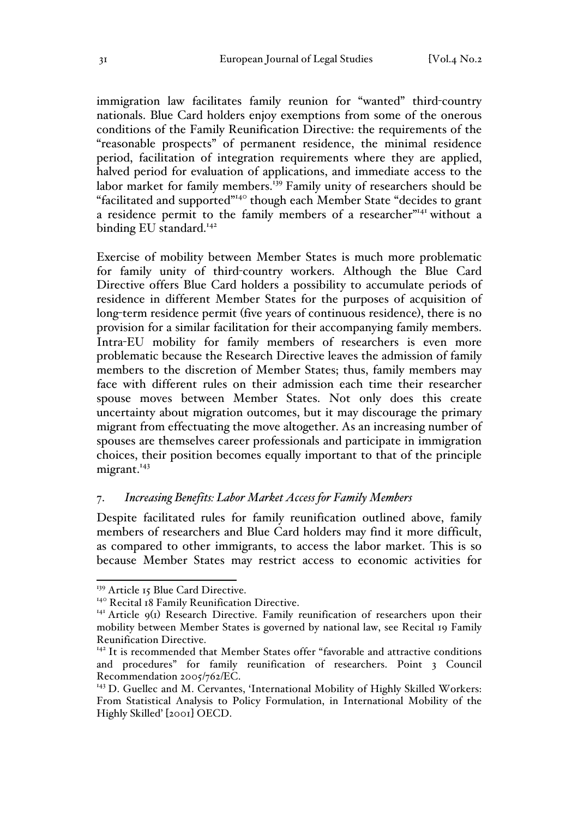immigration law facilitates family reunion for "wanted" third-country nationals. Blue Card holders enjoy exemptions from some of the onerous conditions of the Family Reunification Directive: the requirements of the "reasonable prospects" of permanent residence, the minimal residence period, facilitation of integration requirements where they are applied, halved period for evaluation of applications, and immediate access to the labor market for family members.<sup>139</sup> Family unity of researchers should be "facilitated and supported"<sup>140</sup> though each Member State "decides to grant a residence permit to the family members of a researcher"<sup>141</sup> without a binding EU standard.<sup>142</sup>

Exercise of mobility between Member States is much more problematic for family unity of third-country workers. Although the Blue Card Directive offers Blue Card holders a possibility to accumulate periods of residence in different Member States for the purposes of acquisition of long-term residence permit (five years of continuous residence), there is no provision for a similar facilitation for their accompanying family members. Intra-EU mobility for family members of researchers is even more problematic because the Research Directive leaves the admission of family members to the discretion of Member States; thus, family members may face with different rules on their admission each time their researcher spouse moves between Member States. Not only does this create uncertainty about migration outcomes, but it may discourage the primary migrant from effectuating the move altogether. As an increasing number of spouses are themselves career professionals and participate in immigration choices, their position becomes equally important to that of the principle migrant.<sup>143</sup>

## 7. *Increasing Benefits: Labor Market Access for Family Members*

Despite facilitated rules for family reunification outlined above, family members of researchers and Blue Card holders may find it more difficult, as compared to other immigrants, to access the labor market. This is so because Member States may restrict access to economic activities for

<sup>&</sup>lt;sup>139</sup> Article 15 Blue Card Directive.

<sup>&</sup>lt;sup>140</sup> Recital 18 Family Reunification Directive.

<sup>&</sup>lt;sup>141</sup> Article 9(1) Research Directive. Family reunification of researchers upon their mobility between Member States is governed by national law, see Recital 19 Family Reunification Directive.

<sup>&</sup>lt;sup>142</sup> It is recommended that Member States offer "favorable and attractive conditions and procedures" for family reunification of researchers. Point 3 Council Recommendation 2005/762/EC.

<sup>143</sup> D. Guellec and M. Cervantes, 'International Mobility of Highly Skilled Workers: From Statistical Analysis to Policy Formulation, in International Mobility of the Highly Skilled' [2001] OECD.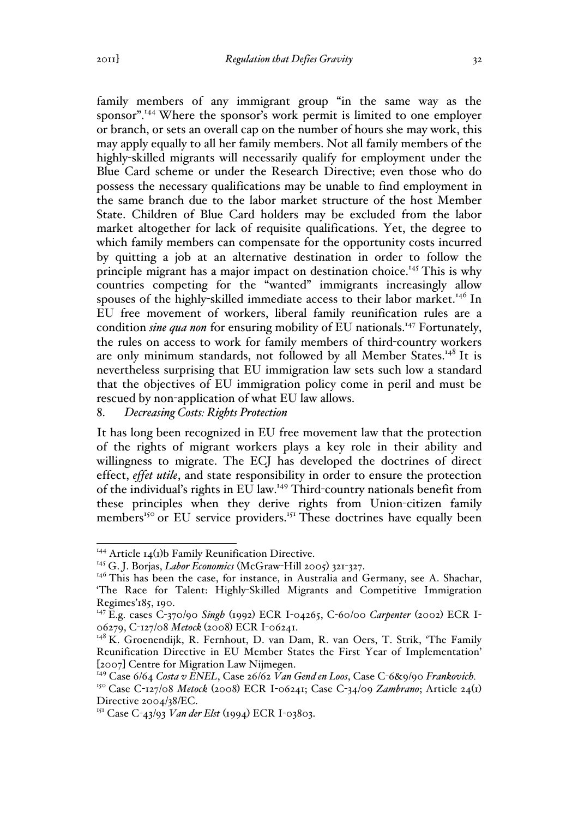family members of any immigrant group "in the same way as the sponsor".144 Where the sponsor's work permit is limited to one employer or branch, or sets an overall cap on the number of hours she may work, this may apply equally to all her family members. Not all family members of the highly-skilled migrants will necessarily qualify for employment under the Blue Card scheme or under the Research Directive; even those who do possess the necessary qualifications may be unable to find employment in the same branch due to the labor market structure of the host Member State. Children of Blue Card holders may be excluded from the labor market altogether for lack of requisite qualifications. Yet, the degree to which family members can compensate for the opportunity costs incurred by quitting a job at an alternative destination in order to follow the principle migrant has a major impact on destination choice.<sup>145</sup> This is why countries competing for the "wanted" immigrants increasingly allow spouses of the highly-skilled immediate access to their labor market.<sup>146</sup> In EU free movement of workers, liberal family reunification rules are a condition *sine qua non* for ensuring mobility of EU nationals.<sup>147</sup> Fortunately, the rules on access to work for family members of third-country workers are only minimum standards, not followed by all Member States.<sup>148</sup> It is nevertheless surprising that EU immigration law sets such low a standard that the objectives of EU immigration policy come in peril and must be rescued by non-application of what EU law allows.

## 8. *Decreasing Costs: Rights Protection*

It has long been recognized in EU free movement law that the protection of the rights of migrant workers plays a key role in their ability and willingness to migrate. The ECJ has developed the doctrines of direct effect, *effet utile*, and state responsibility in order to ensure the protection of the individual's rights in EU law.149 Third-country nationals benefit from these principles when they derive rights from Union-citizen family members<sup>150</sup> or EU service providers.<sup>151</sup> These doctrines have equally been

 $144$  Article 14(1)b Family Reunification Directive.

<sup>145</sup> G. J. Borjas, *Labor Economics* (McGraw-Hill 2005) 321-327.

 $146$  This has been the case, for instance, in Australia and Germany, see A. Shachar, 'The Race for Talent: Highly-Skilled Migrants and Competitive Immigration Regimes'185, 190.

<sup>147</sup> E.g. cases C-370/90 *Singh* (1992) ECR I-04265, C-60/00 *Carpenter* (2002) ECR I-06279, C-127/08 *Metock* (2008) ECR I-06241.

<sup>&</sup>lt;sup>148</sup> K. Groenendijk, R. Fernhout, D. van Dam, R. van Oers, T. Strik, 'The Family Reunification Directive in EU Member States the First Year of Implementation' [2007] Centre for Migration Law Nijmegen.

<sup>149</sup> Case 6/64 *Costa v ENEL*, Case 26/62 *Van Gend en Loos*, Case C-6&9/90 *Frankovich.* <sup>150</sup> Case C-127/08 *Metock* (2008) ECR I-06241; Case C-34/09 *Zambrano*; Article 24(1) Directive 2004/38/EC.

<sup>151</sup> Case C-43/93 *Van der Elst* (1994) ECR I-03803.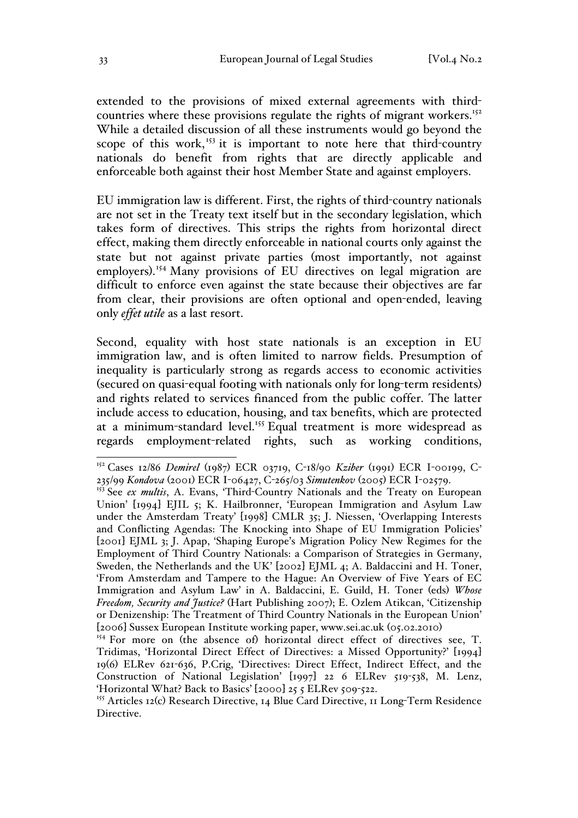extended to the provisions of mixed external agreements with thirdcountries where these provisions regulate the rights of migrant workers.<sup>152</sup> While a detailed discussion of all these instruments would go beyond the scope of this work,<sup> $153$ </sup> it is important to note here that third-country nationals do benefit from rights that are directly applicable and enforceable both against their host Member State and against employers.

EU immigration law is different. First, the rights of third-country nationals are not set in the Treaty text itself but in the secondary legislation, which takes form of directives. This strips the rights from horizontal direct effect, making them directly enforceable in national courts only against the state but not against private parties (most importantly, not against employers). <sup>154</sup> Many provisions of EU directives on legal migration are difficult to enforce even against the state because their objectives are far from clear, their provisions are often optional and open-ended, leaving only *effet utile* as a last resort.

Second, equality with host state nationals is an exception in EU immigration law, and is often limited to narrow fields. Presumption of inequality is particularly strong as regards access to economic activities (secured on quasi-equal footing with nationals only for long-term residents) and rights related to services financed from the public coffer. The latter include access to education, housing, and tax benefits, which are protected at a minimum-standard level.<sup>155</sup> Equal treatment is more widespread as regards employment-related rights, such as working conditions,

 <sup>152</sup> Cases 12/86 *Demirel* (1987) ECR 03719, C-18/90 *Kziber* (1991) ECR I-00199, C-235/99 *Kondova* (2001) ECR I-06427, C-265/03 *Simutenkov* (2005) ECR I-02579.

<sup>&</sup>lt;sup>153</sup> See *ex multis*, A. Evans, 'Third-Country Nationals and the Treaty on European Union' [1994] EJIL 5; K. Hailbronner, 'European Immigration and Asylum Law under the Amsterdam Treaty' [1998] CMLR 35; J. Niessen, 'Overlapping Interests and Conflicting Agendas: The Knocking into Shape of EU Immigration Policies' [2001] EJML 3; J. Apap, 'Shaping Europe's Migration Policy New Regimes for the Employment of Third Country Nationals: a Comparison of Strategies in Germany, Sweden, the Netherlands and the UK' [2002] EJML 4; A. Baldaccini and H. Toner, 'From Amsterdam and Tampere to the Hague: An Overview of Five Years of EC Immigration and Asylum Law' in A. Baldaccini, E. Guild, H. Toner (eds) *Whose Freedom, Security and Justice?* (Hart Publishing 2007); E. Ozlem Atikcan, 'Citizenship or Denizenship: The Treatment of Third Country Nationals in the European Union' [2006] Sussex European Institute working paper, www.sei.ac.uk (05.02.2010)

<sup>&</sup>lt;sup>154</sup> For more on (the absence of) horizontal direct effect of directives see, T. Tridimas, 'Horizontal Direct Effect of Directives: a Missed Opportunity?' [1994] 19(6) ELRev 621-636, P.Crig, 'Directives: Direct Effect, Indirect Effect, and the Construction of National Legislation' [1997] 22 6 ELRev 519-538, M. Lenz, 'Horizontal What? Back to Basics' [2000] 25 5 ELRev 509-522.

<sup>&</sup>lt;sup>155</sup> Articles 12(c) Research Directive, 14 Blue Card Directive, 11 Long-Term Residence Directive.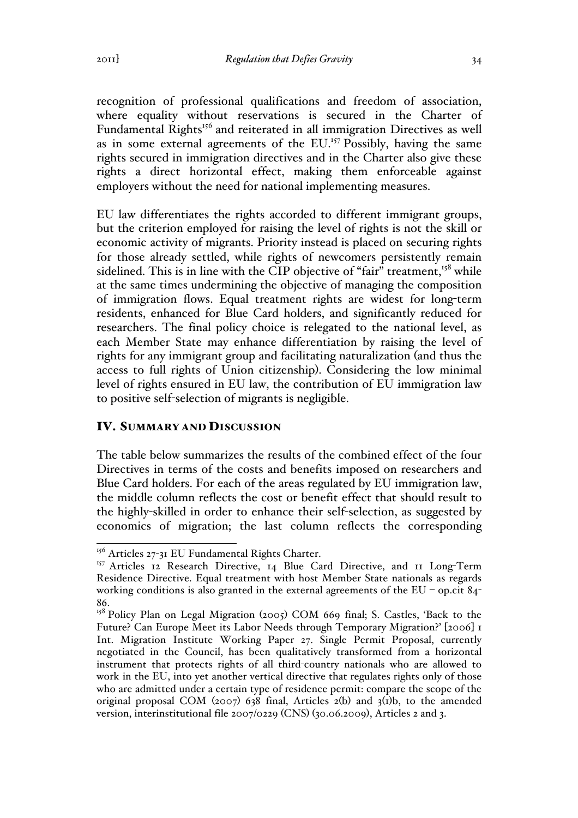recognition of professional qualifications and freedom of association, where equality without reservations is secured in the Charter of Fundamental Rights<sup>156</sup> and reiterated in all immigration Directives as well as in some external agreements of the EU.<sup>157</sup> Possibly, having the same rights secured in immigration directives and in the Charter also give these rights a direct horizontal effect, making them enforceable against employers without the need for national implementing measures.

EU law differentiates the rights accorded to different immigrant groups, but the criterion employed for raising the level of rights is not the skill or economic activity of migrants. Priority instead is placed on securing rights for those already settled, while rights of newcomers persistently remain sidelined. This is in line with the CIP objective of "fair" treatment, $158$  while at the same times undermining the objective of managing the composition of immigration flows. Equal treatment rights are widest for long-term residents, enhanced for Blue Card holders, and significantly reduced for researchers. The final policy choice is relegated to the national level, as each Member State may enhance differentiation by raising the level of rights for any immigrant group and facilitating naturalization (and thus the access to full rights of Union citizenship). Considering the low minimal level of rights ensured in EU law, the contribution of EU immigration law to positive self-selection of migrants is negligible.

## IV. SUMMARY AND DISCUSSION

The table below summarizes the results of the combined effect of the four Directives in terms of the costs and benefits imposed on researchers and Blue Card holders. For each of the areas regulated by EU immigration law, the middle column reflects the cost or benefit effect that should result to the highly-skilled in order to enhance their self-selection, as suggested by economics of migration; the last column reflects the corresponding

<sup>&</sup>lt;sup>156</sup> Articles 27-31 EU Fundamental Rights Charter.

<sup>&</sup>lt;sup>157</sup> Articles 12 Research Directive, 14 Blue Card Directive, and 11 Long-Term Residence Directive. Equal treatment with host Member State nationals as regards working conditions is also granted in the external agreements of the  $EU - op.$ cit  $84$ -86.

<sup>&</sup>lt;sup>158</sup> Policy Plan on Legal Migration (2005) COM 669 final; S. Castles, 'Back to the Future? Can Europe Meet its Labor Needs through Temporary Migration?' [2006] 1 Int. Migration Institute Working Paper 27. Single Permit Proposal, currently negotiated in the Council, has been qualitatively transformed from a horizontal instrument that protects rights of all third-country nationals who are allowed to work in the EU, into yet another vertical directive that regulates rights only of those who are admitted under a certain type of residence permit: compare the scope of the original proposal COM (2007) 638 final, Articles 2(b) and 3(1)b, to the amended version, interinstitutional file 2007/0229 (CNS) (30.06.2009), Articles 2 and 3.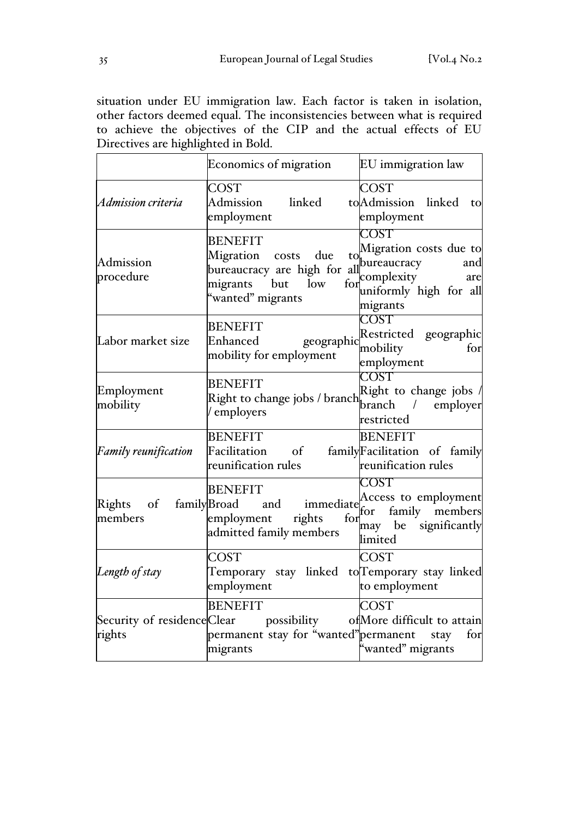situation under EU immigration law. Each factor is taken in isolation, other factors deemed equal. The inconsistencies between what is required to achieve the objectives of the CIP and the actual effects of EU Directives are highlighted in Bold.

|                             | Economics of migration                                                                                                                                         | EU immigration law                                                    |
|-----------------------------|----------------------------------------------------------------------------------------------------------------------------------------------------------------|-----------------------------------------------------------------------|
| Admission criteria          | COST<br>Admission linked<br>employment                                                                                                                         | COST<br>to Admission linked<br>to<br>employment                       |
| Admission<br>procedure      | Migration costs due to<br>bureaucracy are high for all bureaucracy and<br>migrants<br>low<br>but<br>"wanted" migrants                                          | COST<br>all complexity are<br>for uniformly high for all<br>migrants  |
| Labor market size           | <b>BENEFIT</b><br>Enhanced<br>geographic<br>mobility for employment                                                                                            | COST<br>Restricted geographic<br>mobility<br>for<br>employment        |
| Employment<br>mobility      | <b>BENEFIT</b><br>Right to change jobs / branch<br>employers                                                                                                   | COST<br>Right to change jobs /<br>/ employer<br>branch<br>restricted  |
| <b>Family reunification</b> | <b>BENEFIT</b><br>Facilitation of<br>reunification rules                                                                                                       | <b>BENEFIT</b><br>familyFacilitation of family<br>reunification rules |
| Rights of<br>members        | <b>BENEFIT</b><br>familyBroad and immediate Access to employment<br>employment rights for family members<br>admitted family members<br>admitted family members | COST<br>limited                                                       |
| Length of stay              | <b>COST</b><br>Temporary stay linked to Temporary stay linked<br>employment                                                                                    | <b>COST</b><br>to employment                                          |
| rights                      | <b>BENEFIT</b><br>Security of residenceClear possibility<br>permanent stay for "wanted" permanent stay<br>migrants                                             | <b>COST</b><br>ofMore difficult to attain<br>for<br>"wanted" migrants |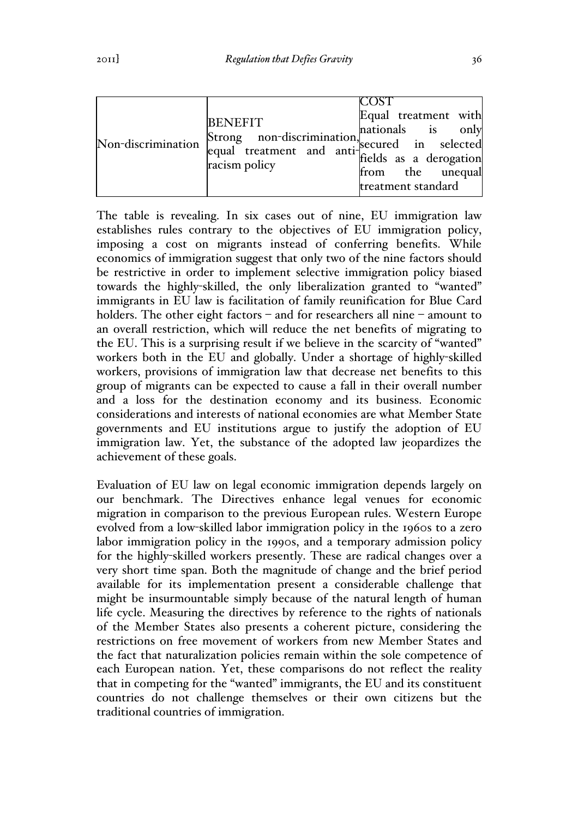| Non-discrimination | <b>BENEFIT</b><br>BEINETTI<br>Strong non-discrimination, nationals is only<br>equal treatment and anti-<br>fields as a derogation<br>racism policy | Equal treatment with<br>from the unequal<br>treatment standard |
|--------------------|----------------------------------------------------------------------------------------------------------------------------------------------------|----------------------------------------------------------------|
|--------------------|----------------------------------------------------------------------------------------------------------------------------------------------------|----------------------------------------------------------------|

The table is revealing. In six cases out of nine, EU immigration law establishes rules contrary to the objectives of EU immigration policy, imposing a cost on migrants instead of conferring benefits. While economics of immigration suggest that only two of the nine factors should be restrictive in order to implement selective immigration policy biased towards the highly-skilled, the only liberalization granted to "wanted" immigrants in EU law is facilitation of family reunification for Blue Card holders. The other eight factors – and for researchers all nine – amount to an overall restriction, which will reduce the net benefits of migrating to the EU. This is a surprising result if we believe in the scarcity of "wanted" workers both in the EU and globally. Under a shortage of highly-skilled workers, provisions of immigration law that decrease net benefits to this group of migrants can be expected to cause a fall in their overall number and a loss for the destination economy and its business. Economic considerations and interests of national economies are what Member State governments and EU institutions argue to justify the adoption of EU immigration law. Yet, the substance of the adopted law jeopardizes the achievement of these goals.

Evaluation of EU law on legal economic immigration depends largely on our benchmark. The Directives enhance legal venues for economic migration in comparison to the previous European rules. Western Europe evolved from a low-skilled labor immigration policy in the 1960s to a zero labor immigration policy in the 1990s, and a temporary admission policy for the highly-skilled workers presently. These are radical changes over a very short time span. Both the magnitude of change and the brief period available for its implementation present a considerable challenge that might be insurmountable simply because of the natural length of human life cycle. Measuring the directives by reference to the rights of nationals of the Member States also presents a coherent picture, considering the restrictions on free movement of workers from new Member States and the fact that naturalization policies remain within the sole competence of each European nation. Yet, these comparisons do not reflect the reality that in competing for the "wanted" immigrants, the EU and its constituent countries do not challenge themselves or their own citizens but the traditional countries of immigration.